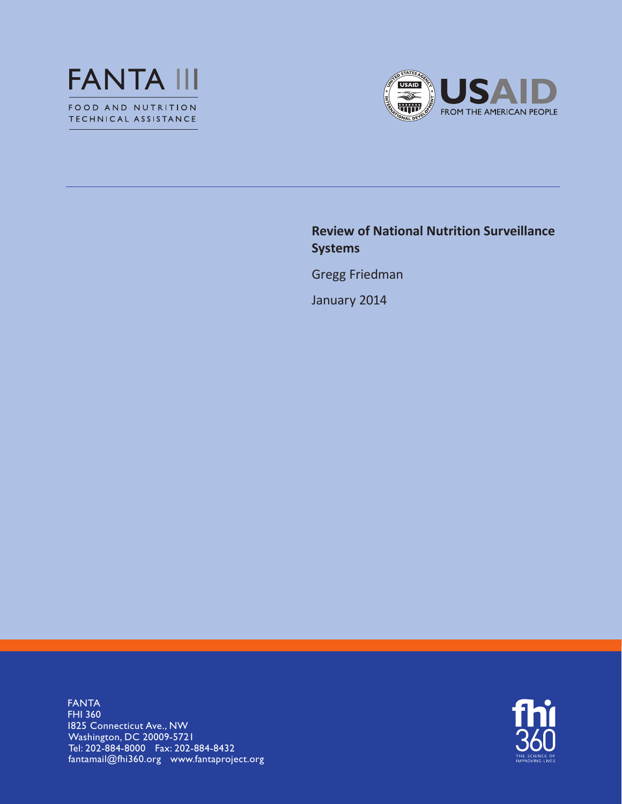



## **Review of National Nutrition Surveillance Systems**

Gregg Friedman

January 2014

FANTA FHI 360 1825 Connecticut Ave., NW Washington, DC 20009-5721 Tel: 202-884-8000 Fax: 202-884-8432 fantamail@fhi360.org www.fantaproject.org

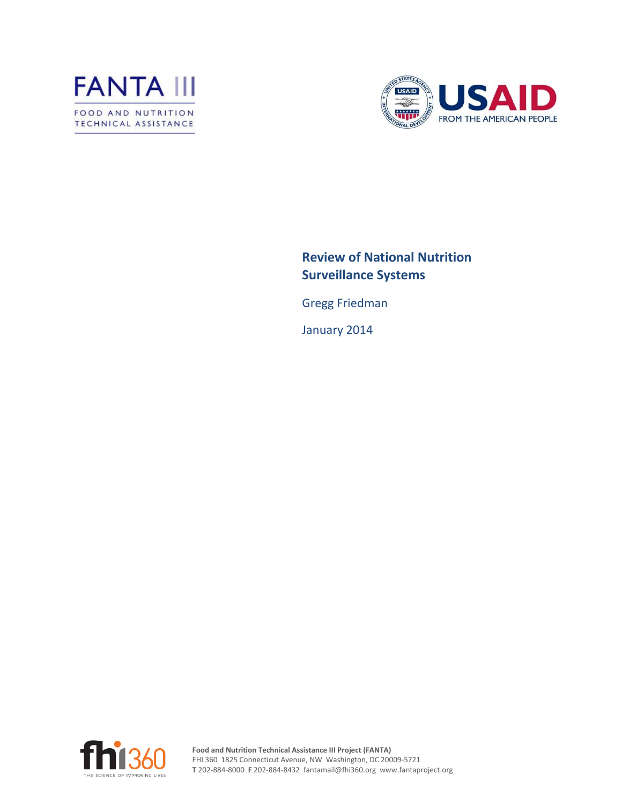



## **Review of National Nutrition Surveillance Systems**

Gregg Friedman

January 2014

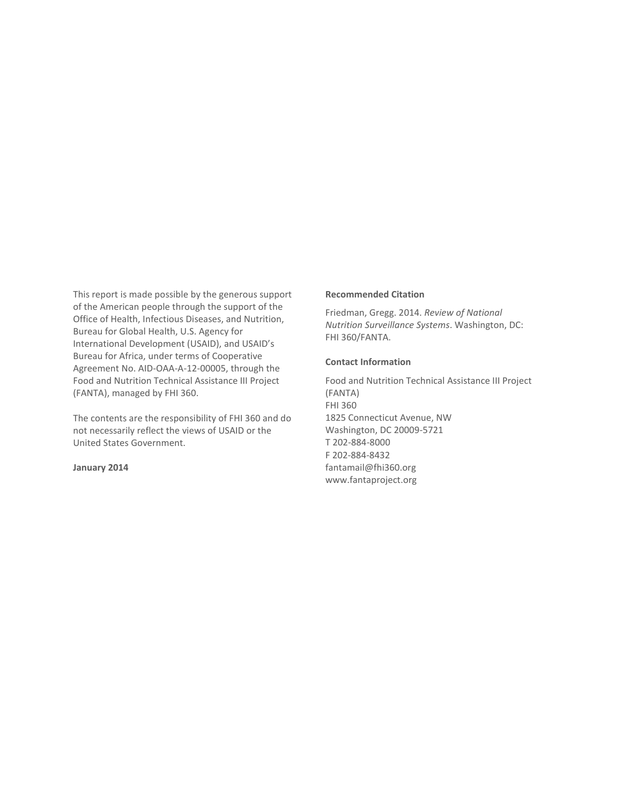This report is made possible by the generous support of the American people through the support of the Office of Health, Infectious Diseases, and Nutrition, Bureau for Global Health, U.S. Agency for International Development (USAID), and USAID's Bureau for Africa, under terms of Cooperative Agreement No. AID-OAA-A-12-00005, through the Food and Nutrition Technical Assistance III Project (FANTA), managed by FHI 360.

The contents are the responsibility of FHI 360 and do not necessarily reflect the views of USAID or the United States Government.

**January 2014**

#### **Recommended Citation**

Friedman, Gregg. 2014. *Review of National Nutrition Surveillance Systems*. Washington, DC: FHI 360/FANTA.

### **Contact Information**

Food and Nutrition Technical Assistance III Project (FANTA) FHI 360 1825 Connecticut Avenue, NW Washington, DC 20009-5721 T 202-884-8000 F 202-884-8432 fantamail@fhi360.org www.fantaproject.org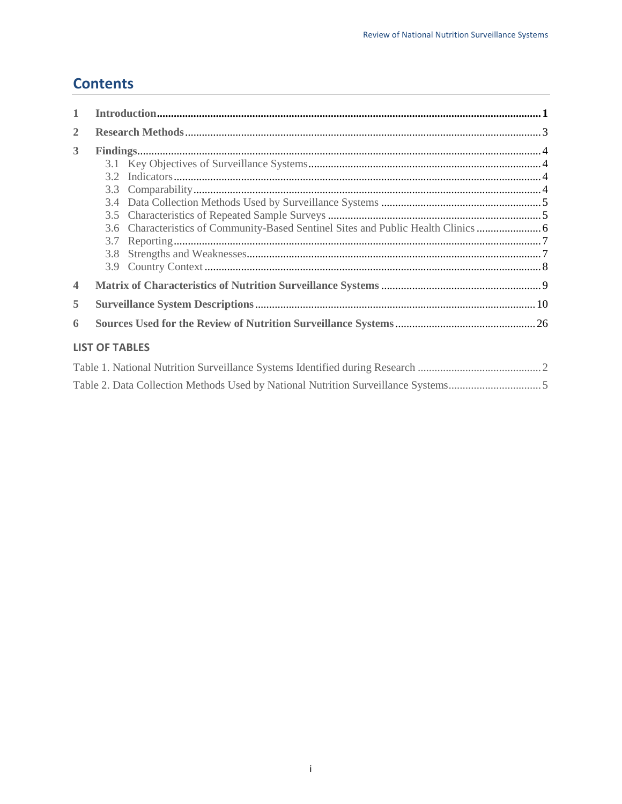## **Contents**

| $\mathbf{1}$            |                       |  |  |  |
|-------------------------|-----------------------|--|--|--|
| $\overline{2}$          |                       |  |  |  |
| 3                       |                       |  |  |  |
|                         |                       |  |  |  |
|                         |                       |  |  |  |
|                         | 3.3                   |  |  |  |
|                         | 3.4                   |  |  |  |
|                         | 3.5                   |  |  |  |
|                         | 3.6                   |  |  |  |
|                         | 3.7                   |  |  |  |
|                         | 3.8                   |  |  |  |
|                         | 3.9                   |  |  |  |
| $\overline{\mathbf{4}}$ |                       |  |  |  |
| 5                       |                       |  |  |  |
| 6                       |                       |  |  |  |
|                         | <b>LIST OF TABLES</b> |  |  |  |
|                         |                       |  |  |  |
|                         |                       |  |  |  |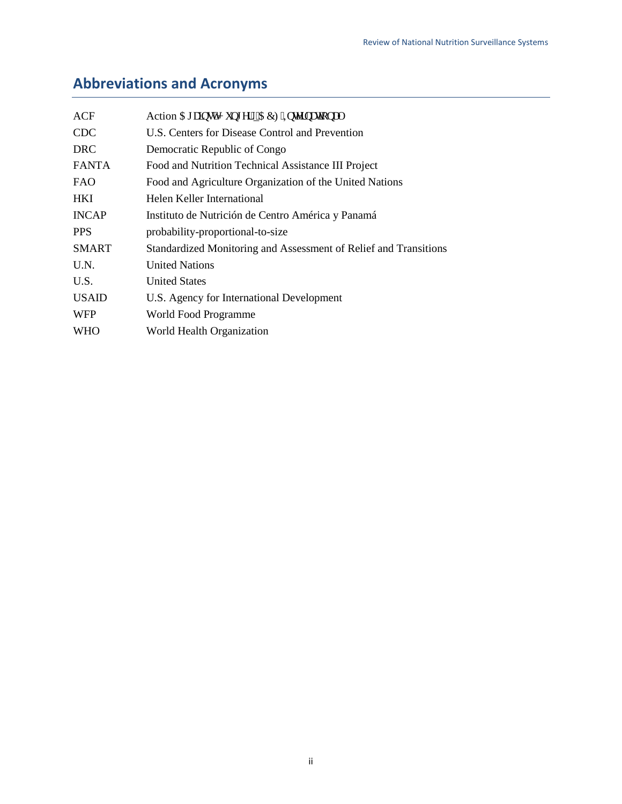# **Abbreviations and Acronyms**

| ACF          | Action Ci clouv'l wpi gt" "CEH Kongt pc vlapch"                  |
|--------------|------------------------------------------------------------------|
| <b>CDC</b>   | U.S. Centers for Disease Control and Prevention                  |
| <b>DRC</b>   | Democratic Republic of Congo                                     |
| <b>FANTA</b> | Food and Nutrition Technical Assistance III Project              |
| <b>FAO</b>   | Food and Agriculture Organization of the United Nations          |
| <b>HKI</b>   | Helen Keller International                                       |
| <b>INCAP</b> | Instituto de Nutrición de Centro América y Panamá                |
| <b>PPS</b>   | probability-proportional-to-size                                 |
| <b>SMART</b> | Standardized Monitoring and Assessment of Relief and Transitions |
| U.N.         | <b>United Nations</b>                                            |
| U.S.         | <b>United States</b>                                             |
| <b>USAID</b> | U.S. Agency for International Development                        |
| <b>WFP</b>   | World Food Programme                                             |
| <b>WHO</b>   | World Health Organization                                        |
|              |                                                                  |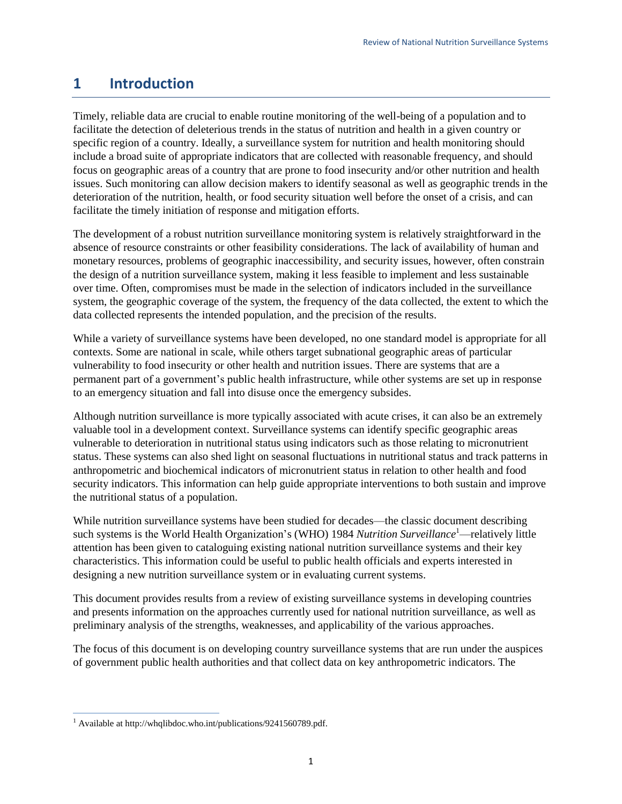## <span id="page-5-0"></span>**1 Introduction**

Timely, reliable data are crucial to enable routine monitoring of the well-being of a population and to facilitate the detection of deleterious trends in the status of nutrition and health in a given country or specific region of a country. Ideally, a surveillance system for nutrition and health monitoring should include a broad suite of appropriate indicators that are collected with reasonable frequency, and should focus on geographic areas of a country that are prone to food insecurity and/or other nutrition and health issues. Such monitoring can allow decision makers to identify seasonal as well as geographic trends in the deterioration of the nutrition, health, or food security situation well before the onset of a crisis, and can facilitate the timely initiation of response and mitigation efforts.

The development of a robust nutrition surveillance monitoring system is relatively straightforward in the absence of resource constraints or other feasibility considerations. The lack of availability of human and monetary resources, problems of geographic inaccessibility, and security issues, however, often constrain the design of a nutrition surveillance system, making it less feasible to implement and less sustainable over time. Often, compromises must be made in the selection of indicators included in the surveillance system, the geographic coverage of the system, the frequency of the data collected, the extent to which the data collected represents the intended population, and the precision of the results.

While a variety of surveillance systems have been developed, no one standard model is appropriate for all contexts. Some are national in scale, while others target subnational geographic areas of particular vulnerability to food insecurity or other health and nutrition issues. There are systems that are a permanent part of a government's public health infrastructure, while other systems are set up in response to an emergency situation and fall into disuse once the emergency subsides.

Although nutrition surveillance is more typically associated with acute crises, it can also be an extremely valuable tool in a development context. Surveillance systems can identify specific geographic areas vulnerable to deterioration in nutritional status using indicators such as those relating to micronutrient status. These systems can also shed light on seasonal fluctuations in nutritional status and track patterns in anthropometric and biochemical indicators of micronutrient status in relation to other health and food security indicators. This information can help guide appropriate interventions to both sustain and improve the nutritional status of a population.

While nutrition surveillance systems have been studied for decades—the classic document describing such systems is the World Health Organization's (WHO) 1984 *Nutrition Surveillance*<sup>1</sup>—relatively little attention has been given to cataloguing existing national nutrition surveillance systems and their key characteristics. This information could be useful to public health officials and experts interested in designing a new nutrition surveillance system or in evaluating current systems.

This document provides results from a review of existing surveillance systems in developing countries and presents information on the approaches currently used for national nutrition surveillance, as well as preliminary analysis of the strengths, weaknesses, and applicability of the various approaches.

The focus of this document is on developing country surveillance systems that are run under the auspices of government public health authorities and that collect data on key anthropometric indicators. The

 $\overline{a}$ 

<sup>&</sup>lt;sup>1</sup> Available at http://whqlibdoc.who.int/publications/9241560789.pdf.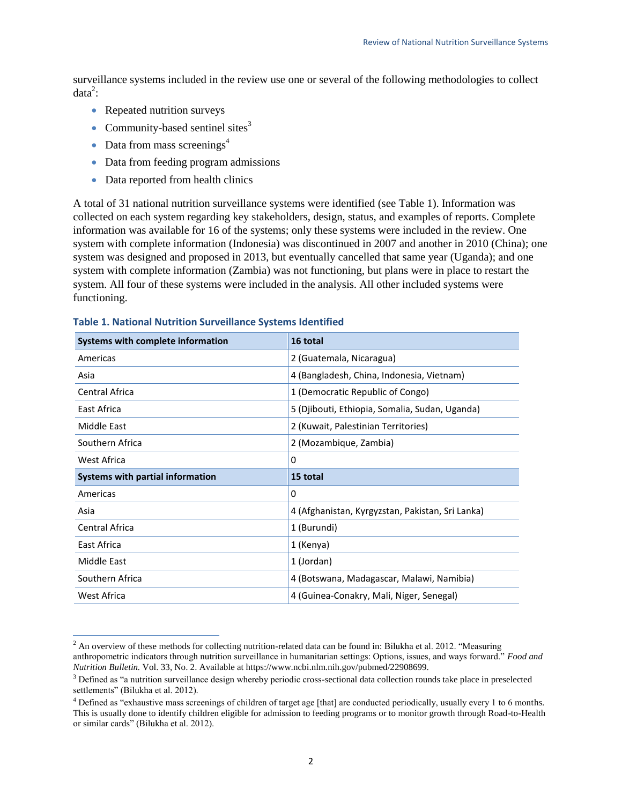surveillance systems included in the review use one or several of the following methodologies to collect  $data<sup>2</sup>$ :

- Repeated nutrition surveys
- Community-based sentinel sites $3$
- Data from mass screenings<sup>4</sup>

 $\overline{a}$ 

- Data from feeding program admissions
- Data reported from health clinics

A total of 31 national nutrition surveillance systems were identified (see Table 1). Information was collected on each system regarding key stakeholders, design, status, and examples of reports. Complete information was available for 16 of the systems; only these systems were included in the review. One system with complete information (Indonesia) was discontinued in 2007 and another in 2010 (China); one system was designed and proposed in 2013, but eventually cancelled that same year (Uganda); and one system with complete information (Zambia) was not functioning, but plans were in place to restart the system. All four of these systems were included in the analysis. All other included systems were functioning.

| Systems with complete information | 16 total                                         |  |  |
|-----------------------------------|--------------------------------------------------|--|--|
| Americas                          | 2 (Guatemala, Nicaragua)                         |  |  |
| Asia                              | 4 (Bangladesh, China, Indonesia, Vietnam)        |  |  |
| Central Africa                    | 1 (Democratic Republic of Congo)                 |  |  |
| East Africa                       | 5 (Djibouti, Ethiopia, Somalia, Sudan, Uganda)   |  |  |
| Middle East                       | 2 (Kuwait, Palestinian Territories)              |  |  |
| Southern Africa                   | 2 (Mozambique, Zambia)                           |  |  |
| West Africa                       | 0                                                |  |  |
| Systems with partial information  | 15 total                                         |  |  |
| Americas                          | 0                                                |  |  |
|                                   |                                                  |  |  |
| Asia                              | 4 (Afghanistan, Kyrgyzstan, Pakistan, Sri Lanka) |  |  |
| Central Africa                    | 1 (Burundi)                                      |  |  |
| East Africa                       | 1 (Kenya)                                        |  |  |
| Middle East                       | 1 (Jordan)                                       |  |  |
| Southern Africa                   | 4 (Botswana, Madagascar, Malawi, Namibia)        |  |  |

### <span id="page-6-0"></span>**Table 1. National Nutrition Surveillance Systems Identified**

 $<sup>2</sup>$  An overview of these methods for collecting nutrition-related data can be found in: Bilukha et al. 2012. "Measuring</sup> anthropometric indicators through nutrition surveillance in humanitarian settings: Options, issues, and ways forward." *Food and Nutrition Bulletin.* Vol. 33, No. 2. Available at https://www.ncbi.nlm.nih.gov/pubmed/22908699.

<sup>&</sup>lt;sup>3</sup> Defined as "a nutrition surveillance design whereby periodic cross-sectional data collection rounds take place in preselected settlements" (Bilukha et al. 2012).

<sup>4</sup> Defined as "exhaustive mass screenings of children of target age [that] are conducted periodically, usually every 1 to 6 months. This is usually done to identify children eligible for admission to feeding programs or to monitor growth through Road-to-Health or similar cards" (Bilukha et al. 2012).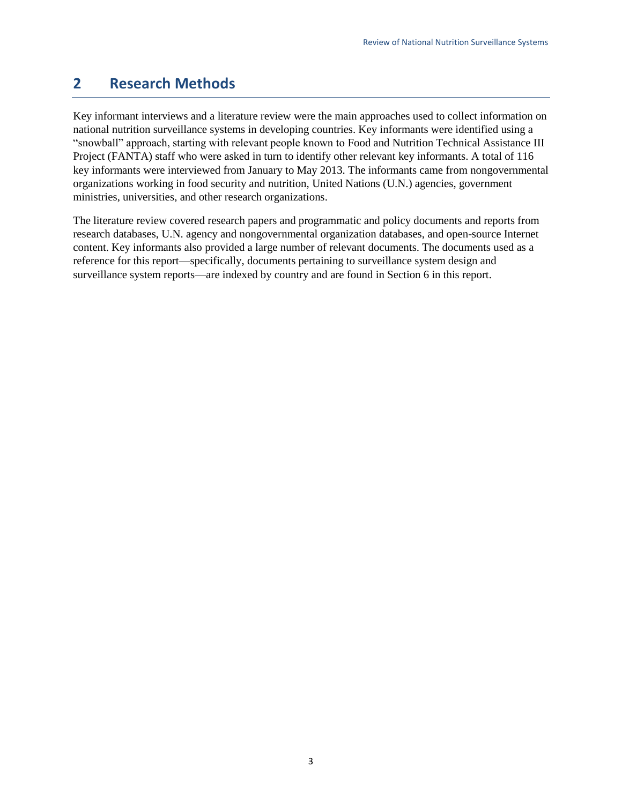## <span id="page-7-0"></span>**2 Research Methods**

Key informant interviews and a literature review were the main approaches used to collect information on national nutrition surveillance systems in developing countries. Key informants were identified using a "snowball" approach, starting with relevant people known to Food and Nutrition Technical Assistance III Project (FANTA) staff who were asked in turn to identify other relevant key informants. A total of 116 key informants were interviewed from January to May 2013. The informants came from nongovernmental organizations working in food security and nutrition, United Nations (U.N.) agencies, government ministries, universities, and other research organizations.

The literature review covered research papers and programmatic and policy documents and reports from research databases, U.N. agency and nongovernmental organization databases, and open-source Internet content. Key informants also provided a large number of relevant documents. The documents used as a reference for this report—specifically, documents pertaining to surveillance system design and surveillance system reports—are indexed by country and are found in Section 6 in this report.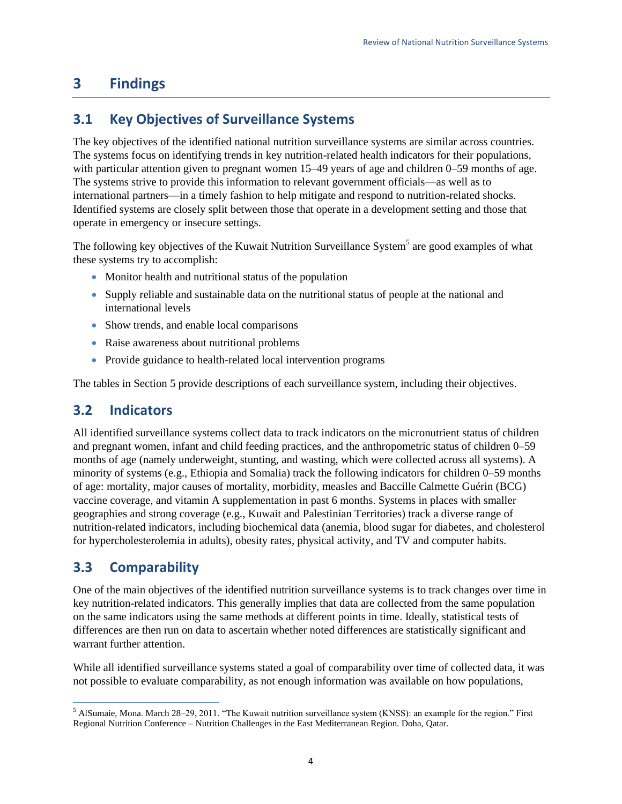# <span id="page-8-0"></span>**3 Findings**

## <span id="page-8-1"></span>**3.1 Key Objectives of Surveillance Systems**

The key objectives of the identified national nutrition surveillance systems are similar across countries. The systems focus on identifying trends in key nutrition-related health indicators for their populations, with particular attention given to pregnant women 15–49 years of age and children 0–59 months of age. The systems strive to provide this information to relevant government officials—as well as to international partners—in a timely fashion to help mitigate and respond to nutrition-related shocks. Identified systems are closely split between those that operate in a development setting and those that operate in emergency or insecure settings.

The following key objectives of the Kuwait Nutrition Surveillance System<sup>5</sup> are good examples of what these systems try to accomplish:

- Monitor health and nutritional status of the population
- Supply reliable and sustainable data on the nutritional status of people at the national and international levels
- Show trends, and enable local comparisons
- Raise awareness about nutritional problems
- Provide guidance to health-related local intervention programs

The tables in Section 5 provide descriptions of each surveillance system, including their objectives.

## <span id="page-8-2"></span>**3.2 Indicators**

All identified surveillance systems collect data to track indicators on the micronutrient status of children and pregnant women, infant and child feeding practices, and the anthropometric status of children 0–59 months of age (namely underweight, stunting, and wasting, which were collected across all systems). A minority of systems (e.g., Ethiopia and Somalia) track the following indicators for children 0–59 months of age: mortality, major causes of mortality, morbidity, measles and Baccille Calmette Guérin (BCG) vaccine coverage, and vitamin A supplementation in past 6 months. Systems in places with smaller geographies and strong coverage (e.g., Kuwait and Palestinian Territories) track a diverse range of nutrition-related indicators, including biochemical data (anemia, blood sugar for diabetes, and cholesterol for hypercholesterolemia in adults), obesity rates, physical activity, and TV and computer habits.

## <span id="page-8-3"></span>**3.3 Comparability**

One of the main objectives of the identified nutrition surveillance systems is to track changes over time in key nutrition-related indicators. This generally implies that data are collected from the same population on the same indicators using the same methods at different points in time. Ideally, statistical tests of differences are then run on data to ascertain whether noted differences are statistically significant and warrant further attention.

While all identified surveillance systems stated a goal of comparability over time of collected data, it was not possible to evaluate comparability, as not enough information was available on how populations,

 5 AlSumaie, Mona. March 28–29, 2011. "The Kuwait nutrition surveillance system (KNSS): an example for the region." First Regional Nutrition Conference – Nutrition Challenges in the East Mediterranean Region. Doha, Qatar.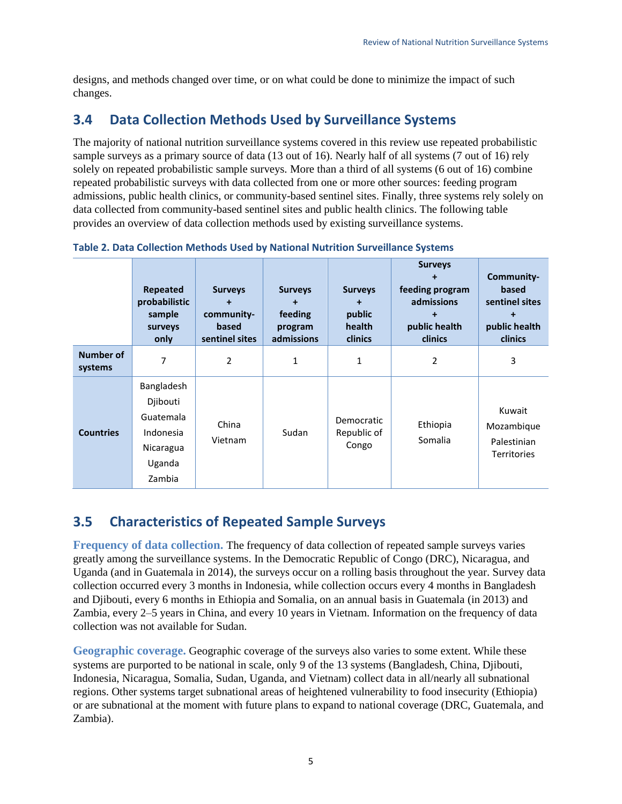designs, and methods changed over time, or on what could be done to minimize the impact of such changes.

## <span id="page-9-0"></span>**3.4 Data Collection Methods Used by Surveillance Systems**

The majority of national nutrition surveillance systems covered in this review use repeated probabilistic sample surveys as a primary source of data (13 out of 16). Nearly half of all systems (7 out of 16) rely solely on repeated probabilistic sample surveys. More than a third of all systems (6 out of 16) combine repeated probabilistic surveys with data collected from one or more other sources: feeding program admissions, public health clinics, or community-based sentinel sites. Finally, three systems rely solely on data collected from community-based sentinel sites and public health clinics. The following table provides an overview of data collection methods used by existing surveillance systems.

|                             | Repeated<br>probabilistic<br>sample<br>surveys<br>only                            | <b>Surveys</b><br>$\ddot{}$<br>community-<br>based<br>sentinel sites | <b>Surveys</b><br>feeding<br>program<br>admissions | <b>Surveys</b><br>public<br>health<br><b>clinics</b> | <b>Surveys</b><br>feeding program<br>admissions<br>public health<br>clinics | Community-<br>based<br>sentinel sites<br>public health<br>clinics |
|-----------------------------|-----------------------------------------------------------------------------------|----------------------------------------------------------------------|----------------------------------------------------|------------------------------------------------------|-----------------------------------------------------------------------------|-------------------------------------------------------------------|
| <b>Number of</b><br>systems | 7                                                                                 | 2                                                                    | 1                                                  | 1                                                    | 2                                                                           | 3                                                                 |
| <b>Countries</b>            | Bangladesh<br>Djibouti<br>Guatemala<br>Indonesia<br>Nicaragua<br>Uganda<br>Zambia | China<br>Vietnam                                                     | Sudan                                              | Democratic<br>Republic of<br>Congo                   | Ethiopia<br>Somalia                                                         | Kuwait<br>Mozambique<br>Palestinian<br><b>Territories</b>         |

<span id="page-9-2"></span>**Table 2. Data Collection Methods Used by National Nutrition Surveillance Systems** 

## <span id="page-9-1"></span>**3.5 Characteristics of Repeated Sample Surveys**

**Frequency of data collection.** The frequency of data collection of repeated sample surveys varies greatly among the surveillance systems. In the Democratic Republic of Congo (DRC), Nicaragua, and Uganda (and in Guatemala in 2014), the surveys occur on a rolling basis throughout the year. Survey data collection occurred every 3 months in Indonesia, while collection occurs every 4 months in Bangladesh and Djibouti, every 6 months in Ethiopia and Somalia, on an annual basis in Guatemala (in 2013) and Zambia, every 2–5 years in China, and every 10 years in Vietnam. Information on the frequency of data collection was not available for Sudan.

**Geographic coverage.** Geographic coverage of the surveys also varies to some extent. While these systems are purported to be national in scale, only 9 of the 13 systems (Bangladesh, China, Djibouti, Indonesia, Nicaragua, Somalia, Sudan, Uganda, and Vietnam) collect data in all/nearly all subnational regions. Other systems target subnational areas of heightened vulnerability to food insecurity (Ethiopia) or are subnational at the moment with future plans to expand to national coverage (DRC, Guatemala, and Zambia).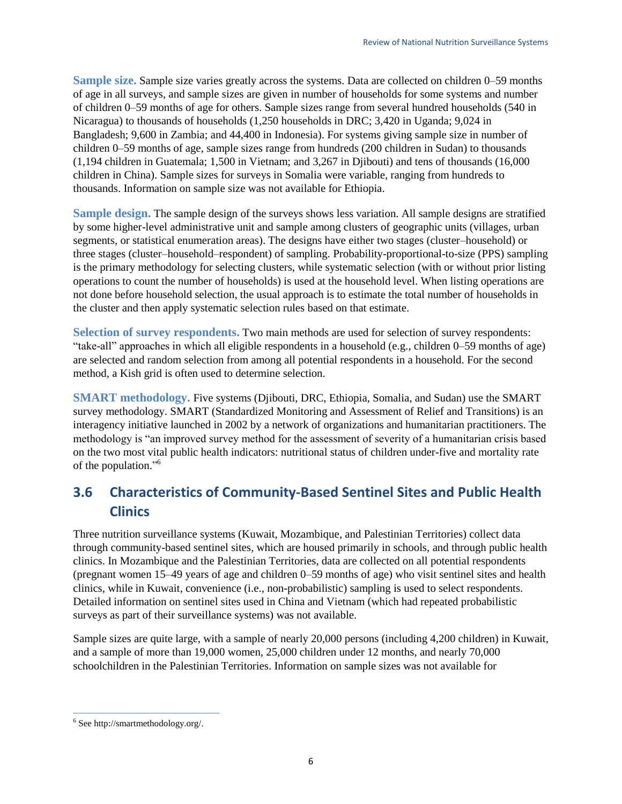**Sample size.** Sample size varies greatly across the systems. Data are collected on children 0–59 months of age in all surveys, and sample sizes are given in number of households for some systems and number of children 0–59 months of age for others. Sample sizes range from several hundred households (540 in Nicaragua) to thousands of households (1,250 households in DRC; 3,420 in Uganda; 9,024 in Bangladesh; 9,600 in Zambia; and 44,400 in Indonesia). For systems giving sample size in number of children 0–59 months of age, sample sizes range from hundreds (200 children in Sudan) to thousands (1,194 children in Guatemala; 1,500 in Vietnam; and 3,267 in Djibouti) and tens of thousands (16,000 children in China). Sample sizes for surveys in Somalia were variable, ranging from hundreds to thousands. Information on sample size was not available for Ethiopia.

**Sample design.** The sample design of the surveys shows less variation. All sample designs are stratified by some higher-level administrative unit and sample among clusters of geographic units (villages, urban segments, or statistical enumeration areas). The designs have either two stages (cluster–household) or three stages (cluster–household–respondent) of sampling. Probability-proportional-to-size (PPS) sampling is the primary methodology for selecting clusters, while systematic selection (with or without prior listing operations to count the number of households) is used at the household level. When listing operations are not done before household selection, the usual approach is to estimate the total number of households in the cluster and then apply systematic selection rules based on that estimate.

**Selection of survey respondents.** Two main methods are used for selection of survey respondents: "take-all" approaches in which all eligible respondents in a household (e.g., children 0–59 months of age) are selected and random selection from among all potential respondents in a household. For the second method, a Kish grid is often used to determine selection.

**SMART methodology.** Five systems (Djibouti, DRC, Ethiopia, Somalia, and Sudan) use the SMART survey methodology. SMART (Standardized Monitoring and Assessment of Relief and Transitions) is an interagency initiative launched in 2002 by a network of organizations and humanitarian practitioners. The methodology is "an improved survey method for the assessment of severity of a humanitarian crisis based on the two most vital public health indicators: nutritional status of children under-five and mortality rate of the population."<sup>6</sup>

## <span id="page-10-0"></span>**3.6 Characteristics of Community-Based Sentinel Sites and Public Health Clinics**

Three nutrition surveillance systems (Kuwait, Mozambique, and Palestinian Territories) collect data through community-based sentinel sites, which are housed primarily in schools, and through public health clinics. In Mozambique and the Palestinian Territories, data are collected on all potential respondents (pregnant women 15–49 years of age and children 0–59 months of age) who visit sentinel sites and health clinics, while in Kuwait, convenience (i.e., non-probabilistic) sampling is used to select respondents. Detailed information on sentinel sites used in China and Vietnam (which had repeated probabilistic surveys as part of their surveillance systems) was not available.

Sample sizes are quite large, with a sample of nearly 20,000 persons (including 4,200 children) in Kuwait, and a sample of more than 19,000 women, 25,000 children under 12 months, and nearly 70,000 schoolchildren in the Palestinian Territories. Information on sample sizes was not available for

 $\overline{a}$ 

<sup>6</sup> Se[e http://smartmethodology.org/.](http://smartmethodology.org/)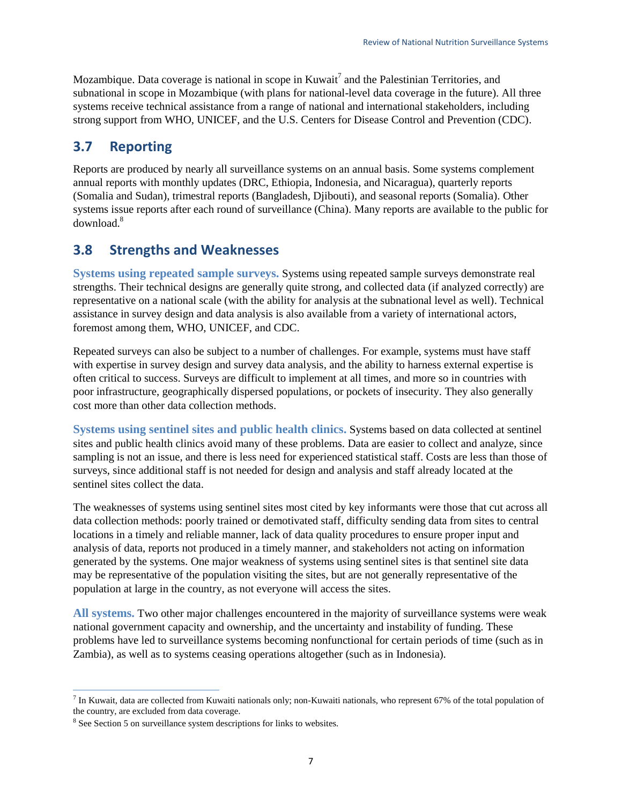Mozambique. Data coverage is national in scope in Kuwait<sup>7</sup> and the Palestinian Territories, and subnational in scope in Mozambique (with plans for national-level data coverage in the future). All three systems receive technical assistance from a range of national and international stakeholders, including strong support from WHO, UNICEF, and the U.S. Centers for Disease Control and Prevention (CDC).

## <span id="page-11-0"></span>**3.7 Reporting**

Reports are produced by nearly all surveillance systems on an annual basis. Some systems complement annual reports with monthly updates (DRC, Ethiopia, Indonesia, and Nicaragua), quarterly reports (Somalia and Sudan), trimestral reports (Bangladesh, Djibouti), and seasonal reports (Somalia). Other systems issue reports after each round of surveillance (China). Many reports are available to the public for download.<sup>8</sup>

## <span id="page-11-1"></span>**3.8 Strengths and Weaknesses**

**Systems using repeated sample surveys.** Systems using repeated sample surveys demonstrate real strengths. Their technical designs are generally quite strong, and collected data (if analyzed correctly) are representative on a national scale (with the ability for analysis at the subnational level as well). Technical assistance in survey design and data analysis is also available from a variety of international actors, foremost among them, WHO, UNICEF, and CDC.

Repeated surveys can also be subject to a number of challenges. For example, systems must have staff with expertise in survey design and survey data analysis, and the ability to harness external expertise is often critical to success. Surveys are difficult to implement at all times, and more so in countries with poor infrastructure, geographically dispersed populations, or pockets of insecurity. They also generally cost more than other data collection methods.

**Systems using sentinel sites and public health clinics.** Systems based on data collected at sentinel sites and public health clinics avoid many of these problems. Data are easier to collect and analyze, since sampling is not an issue, and there is less need for experienced statistical staff. Costs are less than those of surveys, since additional staff is not needed for design and analysis and staff already located at the sentinel sites collect the data.

The weaknesses of systems using sentinel sites most cited by key informants were those that cut across all data collection methods: poorly trained or demotivated staff, difficulty sending data from sites to central locations in a timely and reliable manner, lack of data quality procedures to ensure proper input and analysis of data, reports not produced in a timely manner, and stakeholders not acting on information generated by the systems. One major weakness of systems using sentinel sites is that sentinel site data may be representative of the population visiting the sites, but are not generally representative of the population at large in the country, as not everyone will access the sites.

**All systems.** Two other major challenges encountered in the majority of surveillance systems were weak national government capacity and ownership, and the uncertainty and instability of funding. These problems have led to surveillance systems becoming nonfunctional for certain periods of time (such as in Zambia), as well as to systems ceasing operations altogether (such as in Indonesia).

 $\overline{a}$  $^7$  In Kuwait, data are collected from Kuwaiti nationals only; non-Kuwaiti nationals, who represent 67% of the total population of the country, are excluded from data coverage.

<sup>&</sup>lt;sup>8</sup> See Section 5 on surveillance system descriptions for links to websites.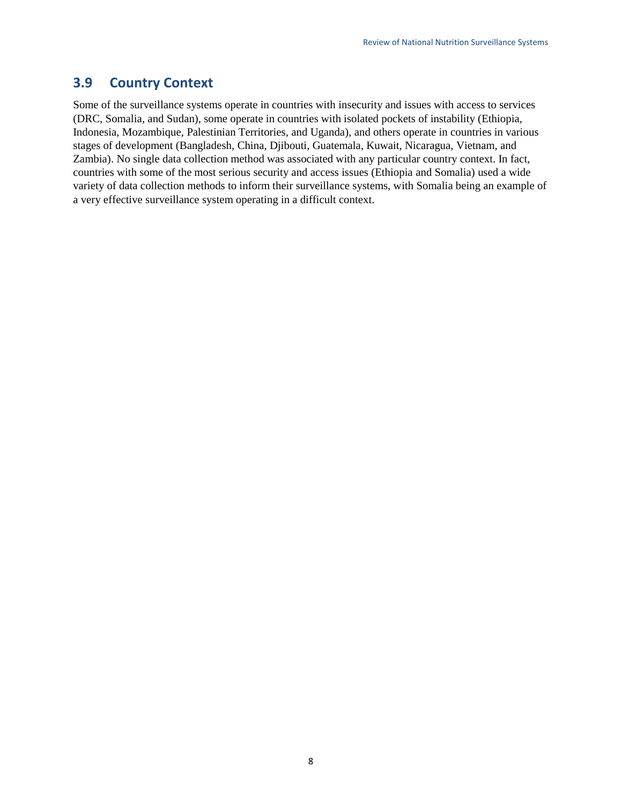## <span id="page-12-0"></span>**3.9 Country Context**

Some of the surveillance systems operate in countries with insecurity and issues with access to services (DRC, Somalia, and Sudan), some operate in countries with isolated pockets of instability (Ethiopia, Indonesia, Mozambique, Palestinian Territories, and Uganda), and others operate in countries in various stages of development (Bangladesh, China, Djibouti, Guatemala, Kuwait, Nicaragua, Vietnam, and Zambia). No single data collection method was associated with any particular country context. In fact, countries with some of the most serious security and access issues (Ethiopia and Somalia) used a wide variety of data collection methods to inform their surveillance systems, with Somalia being an example of a very effective surveillance system operating in a difficult context.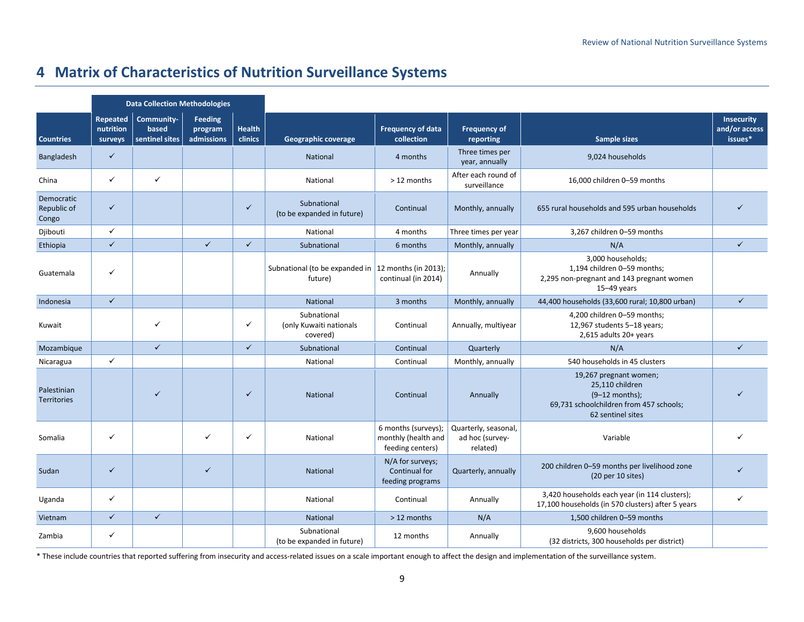# **4 Matrix of Characteristics of Nutrition Surveillance Systems**

<span id="page-13-0"></span>

|                                    | <b>Data Collection Methodologies</b> |                                       |                                  |                          |                                                                  |                                                                |                                                     |                                                                                                                               |                                               |
|------------------------------------|--------------------------------------|---------------------------------------|----------------------------------|--------------------------|------------------------------------------------------------------|----------------------------------------------------------------|-----------------------------------------------------|-------------------------------------------------------------------------------------------------------------------------------|-----------------------------------------------|
| <b>Countries</b>                   | Repeated<br>nutrition<br>surveys     | Community-<br>based<br>sentinel sites | Feeding<br>program<br>admissions | <b>Health</b><br>clinics | <b>Geographic coverage</b>                                       | <b>Frequency of data</b><br>collection                         | <b>Frequency of</b><br>reporting                    | <b>Sample sizes</b>                                                                                                           | <b>Insecurity</b><br>and/or access<br>issues* |
| Bangladesh                         | $\checkmark$                         |                                       |                                  |                          | National                                                         | 4 months                                                       | Three times per<br>year, annually                   | 9,024 households                                                                                                              |                                               |
| China                              | ✓                                    | $\checkmark$                          |                                  |                          | National                                                         | > 12 months                                                    | After each round of<br>surveillance                 | 16,000 children 0-59 months                                                                                                   |                                               |
| Democratic<br>Republic of<br>Congo | $\checkmark$                         |                                       |                                  | $\checkmark$             | Subnational<br>(to be expanded in future)                        | Continual                                                      | Monthly, annually                                   | 655 rural households and 595 urban households                                                                                 | $\checkmark$                                  |
| Djibouti                           | $\checkmark$                         |                                       |                                  |                          | National                                                         | 4 months                                                       | Three times per year                                | 3,267 children 0-59 months                                                                                                    |                                               |
| Ethiopia                           | $\checkmark$                         |                                       | $\checkmark$                     | $\checkmark$             | Subnational                                                      | 6 months                                                       | Monthly, annually                                   | N/A                                                                                                                           | $\checkmark$                                  |
| Guatemala                          | ✓                                    |                                       |                                  |                          | Subnational (to be expanded in   12 months (in 2013);<br>future) | continual (in 2014)                                            | Annually                                            | 3,000 households;<br>1,194 children 0-59 months;<br>2,295 non-pregnant and 143 pregnant women<br>$15-49$ years                |                                               |
| Indonesia                          | $\checkmark$                         |                                       |                                  |                          | National                                                         | 3 months                                                       | Monthly, annually                                   | 44,400 households (33,600 rural; 10,800 urban)                                                                                | $\checkmark$                                  |
| Kuwait                             |                                      | ✓                                     |                                  | ✓                        | Subnational<br>(only Kuwaiti nationals<br>covered)               | Continual                                                      | Annually, multiyear                                 | 4,200 children 0-59 months;<br>12,967 students 5-18 years;<br>2,615 adults 20+ years                                          |                                               |
| Mozambique                         |                                      | $\checkmark$                          |                                  | $\checkmark$             | Subnational                                                      | Continual                                                      | Quarterly                                           | N/A                                                                                                                           | $\checkmark$                                  |
| Nicaragua                          | $\checkmark$                         |                                       |                                  |                          | National                                                         | Continual                                                      | Monthly, annually                                   | 540 households in 45 clusters                                                                                                 |                                               |
| Palestinian<br><b>Territories</b>  |                                      | $\checkmark$                          |                                  | ✓                        | National                                                         | Continual                                                      | Annually                                            | 19,267 pregnant women;<br>25,110 children<br>$(9-12$ months);<br>69,731 schoolchildren from 457 schools;<br>62 sentinel sites |                                               |
| Somalia                            | ✓                                    |                                       | ✓                                | ✓                        | National                                                         | 6 months (surveys);<br>monthly (health and<br>feeding centers) | Quarterly, seasonal,<br>ad hoc (survey-<br>related) | Variable                                                                                                                      |                                               |
| Sudan                              | $\checkmark$                         |                                       | $\checkmark$                     |                          | <b>National</b>                                                  | N/A for surveys;<br>Continual for<br>feeding programs          | Quarterly, annually                                 | 200 children 0-59 months per livelihood zone<br>(20 per 10 sites)                                                             |                                               |
| Uganda                             | ✓                                    |                                       |                                  |                          | National                                                         | Continual                                                      | Annually                                            | 3,420 households each year (in 114 clusters);<br>17,100 households (in 570 clusters) after 5 years                            | $\checkmark$                                  |
| Vietnam                            | $\checkmark$                         | $\checkmark$                          |                                  |                          | National                                                         | > 12 months                                                    | N/A                                                 | 1,500 children 0-59 months                                                                                                    |                                               |
| Zambia                             | ✓                                    |                                       |                                  |                          | Subnational<br>(to be expanded in future)                        | 12 months                                                      | Annually                                            | 9,600 households<br>(32 districts, 300 households per district)                                                               |                                               |

\* These include countries that reported suffering from insecurity and access-related issues on a scale important enough to affect the design and implementation of the surveillance system.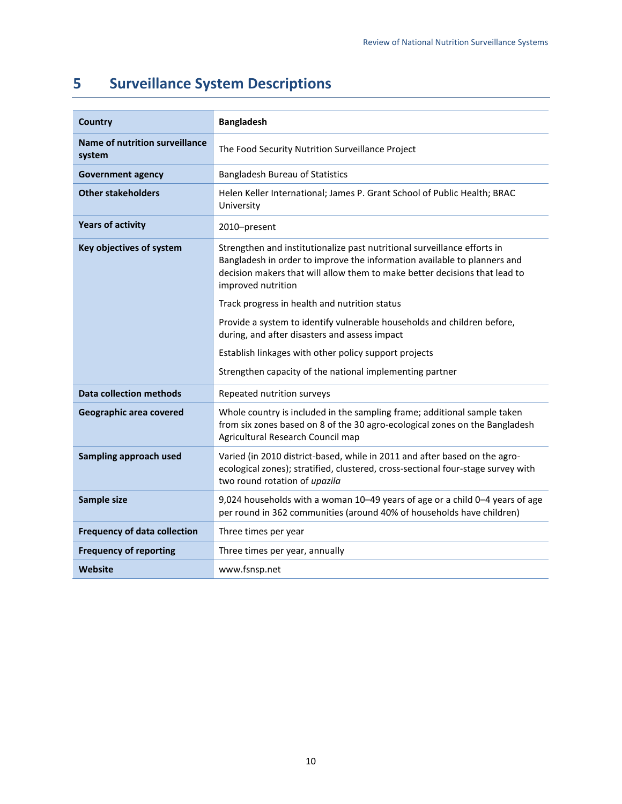# <span id="page-14-0"></span>**5 Surveillance System Descriptions**

| <b>Country</b>                                  | <b>Bangladesh</b>                                                                                                                                                                                                                                        |
|-------------------------------------------------|----------------------------------------------------------------------------------------------------------------------------------------------------------------------------------------------------------------------------------------------------------|
| <b>Name of nutrition surveillance</b><br>system | The Food Security Nutrition Surveillance Project                                                                                                                                                                                                         |
| <b>Government agency</b>                        | <b>Bangladesh Bureau of Statistics</b>                                                                                                                                                                                                                   |
| <b>Other stakeholders</b>                       | Helen Keller International; James P. Grant School of Public Health; BRAC<br>University                                                                                                                                                                   |
| <b>Years of activity</b>                        | 2010-present                                                                                                                                                                                                                                             |
| Key objectives of system                        | Strengthen and institutionalize past nutritional surveillance efforts in<br>Bangladesh in order to improve the information available to planners and<br>decision makers that will allow them to make better decisions that lead to<br>improved nutrition |
|                                                 | Track progress in health and nutrition status                                                                                                                                                                                                            |
|                                                 | Provide a system to identify vulnerable households and children before,<br>during, and after disasters and assess impact                                                                                                                                 |
|                                                 | Establish linkages with other policy support projects                                                                                                                                                                                                    |
|                                                 | Strengthen capacity of the national implementing partner                                                                                                                                                                                                 |
| <b>Data collection methods</b>                  | Repeated nutrition surveys                                                                                                                                                                                                                               |
| Geographic area covered                         | Whole country is included in the sampling frame; additional sample taken<br>from six zones based on 8 of the 30 agro-ecological zones on the Bangladesh<br>Agricultural Research Council map                                                             |
| Sampling approach used                          | Varied (in 2010 district-based, while in 2011 and after based on the agro-<br>ecological zones); stratified, clustered, cross-sectional four-stage survey with<br>two round rotation of upazila                                                          |
| Sample size                                     | 9,024 households with a woman 10-49 years of age or a child 0-4 years of age<br>per round in 362 communities (around 40% of households have children)                                                                                                    |
| <b>Frequency of data collection</b>             | Three times per year                                                                                                                                                                                                                                     |
| <b>Frequency of reporting</b>                   | Three times per year, annually                                                                                                                                                                                                                           |
| Website                                         | www.fsnsp.net                                                                                                                                                                                                                                            |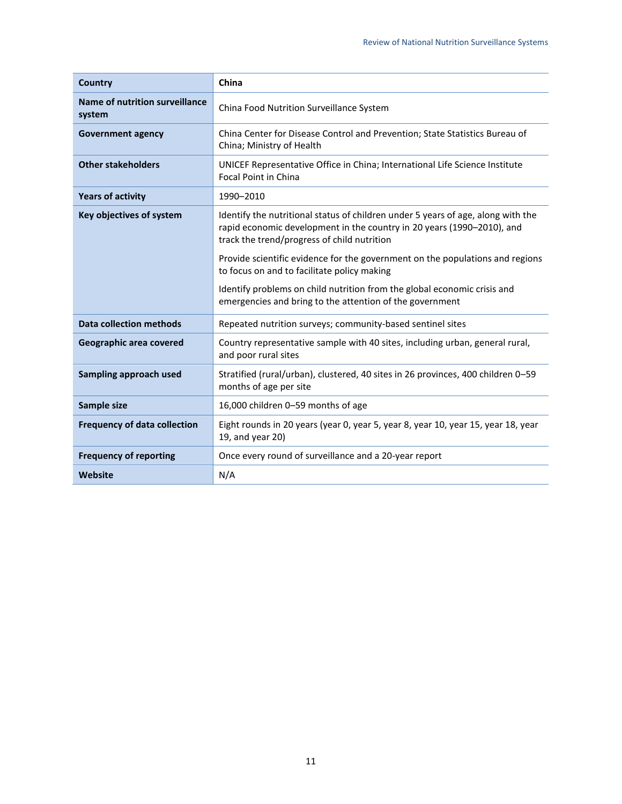| <b>Country</b>                           | China                                                                                                                                                                                                     |
|------------------------------------------|-----------------------------------------------------------------------------------------------------------------------------------------------------------------------------------------------------------|
| Name of nutrition surveillance<br>system | China Food Nutrition Surveillance System                                                                                                                                                                  |
| <b>Government agency</b>                 | China Center for Disease Control and Prevention; State Statistics Bureau of<br>China; Ministry of Health                                                                                                  |
| <b>Other stakeholders</b>                | UNICEF Representative Office in China; International Life Science Institute<br><b>Focal Point in China</b>                                                                                                |
| <b>Years of activity</b>                 | 1990-2010                                                                                                                                                                                                 |
| Key objectives of system                 | Identify the nutritional status of children under 5 years of age, along with the<br>rapid economic development in the country in 20 years (1990-2010), and<br>track the trend/progress of child nutrition |
|                                          | Provide scientific evidence for the government on the populations and regions<br>to focus on and to facilitate policy making                                                                              |
|                                          | Identify problems on child nutrition from the global economic crisis and<br>emergencies and bring to the attention of the government                                                                      |
| <b>Data collection methods</b>           | Repeated nutrition surveys; community-based sentinel sites                                                                                                                                                |
| Geographic area covered                  | Country representative sample with 40 sites, including urban, general rural,<br>and poor rural sites                                                                                                      |
| Sampling approach used                   | Stratified (rural/urban), clustered, 40 sites in 26 provinces, 400 children 0–59<br>months of age per site                                                                                                |
| Sample size                              | 16,000 children 0-59 months of age                                                                                                                                                                        |
| <b>Frequency of data collection</b>      | Eight rounds in 20 years (year 0, year 5, year 8, year 10, year 15, year 18, year<br>19, and year 20)                                                                                                     |
| <b>Frequency of reporting</b>            | Once every round of surveillance and a 20-year report                                                                                                                                                     |
| Website                                  | N/A                                                                                                                                                                                                       |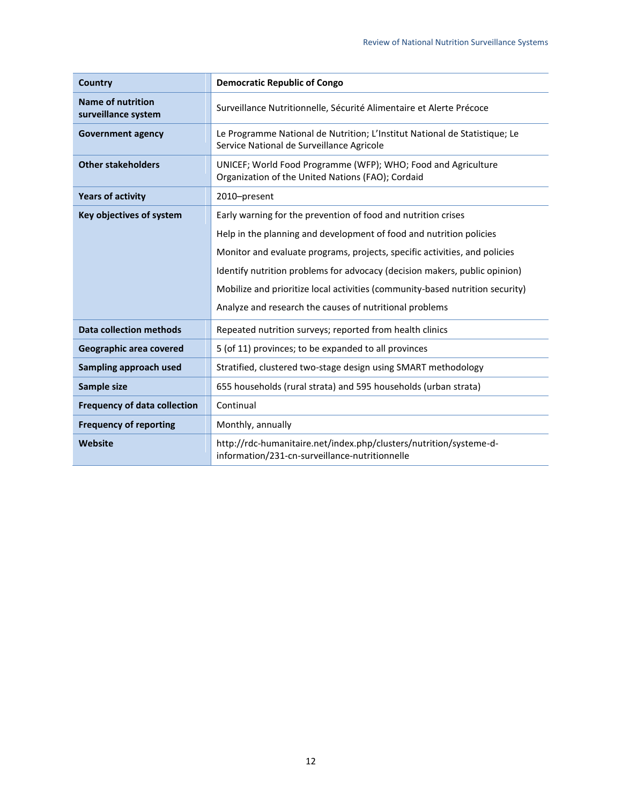| <b>Country</b>                                  | <b>Democratic Republic of Congo</b>                                                                                     |
|-------------------------------------------------|-------------------------------------------------------------------------------------------------------------------------|
| <b>Name of nutrition</b><br>surveillance system | Surveillance Nutritionnelle, Sécurité Alimentaire et Alerte Précoce                                                     |
| <b>Government agency</b>                        | Le Programme National de Nutrition; L'Institut National de Statistique; Le<br>Service National de Surveillance Agricole |
| <b>Other stakeholders</b>                       | UNICEF; World Food Programme (WFP); WHO; Food and Agriculture<br>Organization of the United Nations (FAO); Cordaid      |
| <b>Years of activity</b>                        | 2010-present                                                                                                            |
| Key objectives of system                        | Early warning for the prevention of food and nutrition crises                                                           |
|                                                 | Help in the planning and development of food and nutrition policies                                                     |
|                                                 | Monitor and evaluate programs, projects, specific activities, and policies                                              |
|                                                 | Identify nutrition problems for advocacy (decision makers, public opinion)                                              |
|                                                 | Mobilize and prioritize local activities (community-based nutrition security)                                           |
|                                                 | Analyze and research the causes of nutritional problems                                                                 |
| <b>Data collection methods</b>                  | Repeated nutrition surveys; reported from health clinics                                                                |
| Geographic area covered                         | 5 (of 11) provinces; to be expanded to all provinces                                                                    |
| <b>Sampling approach used</b>                   | Stratified, clustered two-stage design using SMART methodology                                                          |
| Sample size                                     | 655 households (rural strata) and 595 households (urban strata)                                                         |
| <b>Frequency of data collection</b>             | Continual                                                                                                               |
| <b>Frequency of reporting</b>                   | Monthly, annually                                                                                                       |
| <b>Website</b>                                  | http://rdc-humanitaire.net/index.php/clusters/nutrition/systeme-d-<br>information/231-cn-surveillance-nutritionnelle    |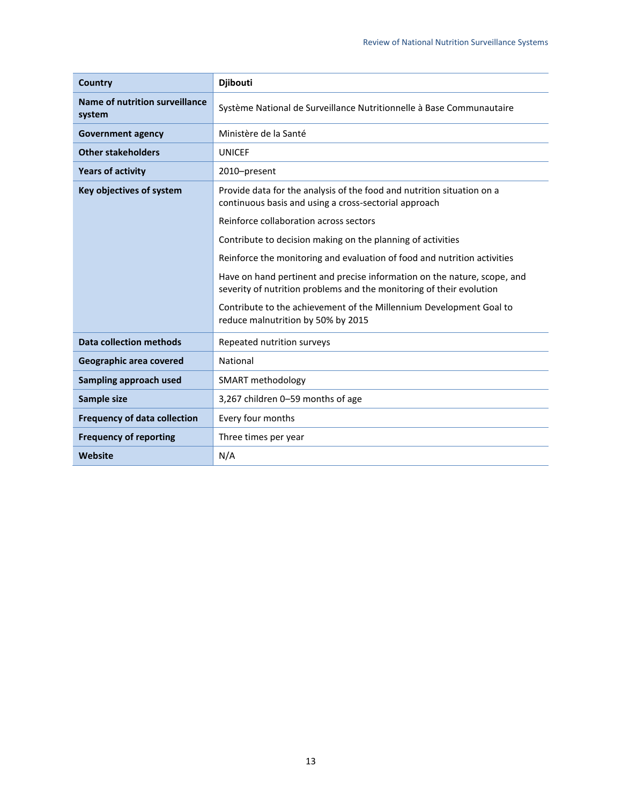| Country                                  | <b>Djibouti</b>                                                                                                                                                                                                                                                                                                                                                                                                                                                                                                                                                                       |
|------------------------------------------|---------------------------------------------------------------------------------------------------------------------------------------------------------------------------------------------------------------------------------------------------------------------------------------------------------------------------------------------------------------------------------------------------------------------------------------------------------------------------------------------------------------------------------------------------------------------------------------|
| Name of nutrition surveillance<br>system | Système National de Surveillance Nutritionnelle à Base Communautaire                                                                                                                                                                                                                                                                                                                                                                                                                                                                                                                  |
| <b>Government agency</b>                 | Ministère de la Santé                                                                                                                                                                                                                                                                                                                                                                                                                                                                                                                                                                 |
| <b>Other stakeholders</b>                | <b>UNICEF</b>                                                                                                                                                                                                                                                                                                                                                                                                                                                                                                                                                                         |
| <b>Years of activity</b>                 | 2010-present                                                                                                                                                                                                                                                                                                                                                                                                                                                                                                                                                                          |
| Key objectives of system                 | Provide data for the analysis of the food and nutrition situation on a<br>continuous basis and using a cross-sectorial approach<br>Reinforce collaboration across sectors<br>Contribute to decision making on the planning of activities<br>Reinforce the monitoring and evaluation of food and nutrition activities<br>Have on hand pertinent and precise information on the nature, scope, and<br>severity of nutrition problems and the monitoring of their evolution<br>Contribute to the achievement of the Millennium Development Goal to<br>reduce malnutrition by 50% by 2015 |
| <b>Data collection methods</b>           | Repeated nutrition surveys                                                                                                                                                                                                                                                                                                                                                                                                                                                                                                                                                            |
| Geographic area covered                  | National                                                                                                                                                                                                                                                                                                                                                                                                                                                                                                                                                                              |
| Sampling approach used                   | SMART methodology                                                                                                                                                                                                                                                                                                                                                                                                                                                                                                                                                                     |
| Sample size                              | 3,267 children 0-59 months of age                                                                                                                                                                                                                                                                                                                                                                                                                                                                                                                                                     |
| <b>Frequency of data collection</b>      | Every four months                                                                                                                                                                                                                                                                                                                                                                                                                                                                                                                                                                     |
| <b>Frequency of reporting</b>            | Three times per year                                                                                                                                                                                                                                                                                                                                                                                                                                                                                                                                                                  |
| Website                                  | N/A                                                                                                                                                                                                                                                                                                                                                                                                                                                                                                                                                                                   |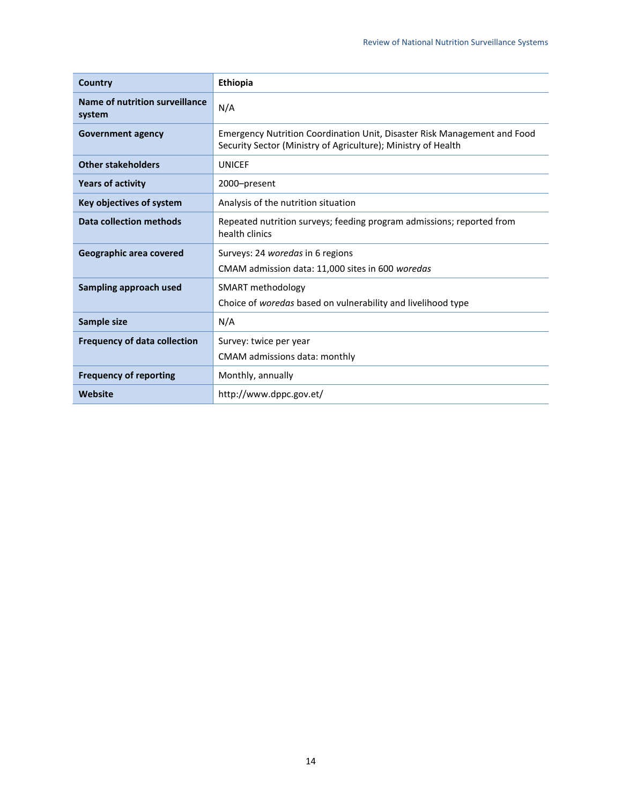| Country                                  | Ethiopia                                                                                                                                  |
|------------------------------------------|-------------------------------------------------------------------------------------------------------------------------------------------|
| Name of nutrition surveillance<br>system | N/A                                                                                                                                       |
| <b>Government agency</b>                 | Emergency Nutrition Coordination Unit, Disaster Risk Management and Food<br>Security Sector (Ministry of Agriculture); Ministry of Health |
| <b>Other stakeholders</b>                | <b>UNICEF</b>                                                                                                                             |
| <b>Years of activity</b>                 | 2000-present                                                                                                                              |
| Key objectives of system                 | Analysis of the nutrition situation                                                                                                       |
| <b>Data collection methods</b>           | Repeated nutrition surveys; feeding program admissions; reported from<br>health clinics                                                   |
| Geographic area covered                  | Surveys: 24 woredas in 6 regions<br>CMAM admission data: 11,000 sites in 600 woredas                                                      |
| Sampling approach used                   | SMART methodology<br>Choice of woredas based on vulnerability and livelihood type                                                         |
| Sample size                              | N/A                                                                                                                                       |
| <b>Frequency of data collection</b>      | Survey: twice per year                                                                                                                    |
|                                          | CMAM admissions data: monthly                                                                                                             |
| <b>Frequency of reporting</b>            | Monthly, annually                                                                                                                         |
| Website                                  | http://www.dppc.gov.et/                                                                                                                   |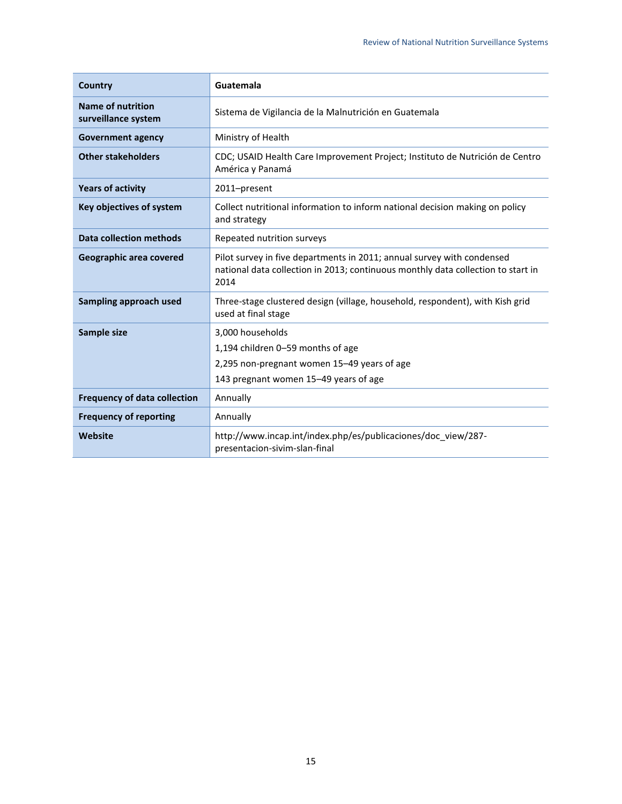| <b>Country</b>                                  | Guatemala                                                                                                                                                          |
|-------------------------------------------------|--------------------------------------------------------------------------------------------------------------------------------------------------------------------|
| <b>Name of nutrition</b><br>surveillance system | Sistema de Vigilancia de la Malnutrición en Guatemala                                                                                                              |
| <b>Government agency</b>                        | Ministry of Health                                                                                                                                                 |
| <b>Other stakeholders</b>                       | CDC; USAID Health Care Improvement Project; Instituto de Nutrición de Centro<br>América y Panamá                                                                   |
| <b>Years of activity</b>                        | 2011-present                                                                                                                                                       |
| Key objectives of system                        | Collect nutritional information to inform national decision making on policy<br>and strategy                                                                       |
| <b>Data collection methods</b>                  | Repeated nutrition surveys                                                                                                                                         |
| Geographic area covered                         | Pilot survey in five departments in 2011; annual survey with condensed<br>national data collection in 2013; continuous monthly data collection to start in<br>2014 |
| Sampling approach used                          | Three-stage clustered design (village, household, respondent), with Kish grid<br>used at final stage                                                               |
| Sample size                                     | 3,000 households                                                                                                                                                   |
|                                                 | 1,194 children 0-59 months of age                                                                                                                                  |
|                                                 | 2,295 non-pregnant women 15-49 years of age                                                                                                                        |
|                                                 | 143 pregnant women 15-49 years of age                                                                                                                              |
| <b>Frequency of data collection</b>             | Annually                                                                                                                                                           |
| <b>Frequency of reporting</b>                   | Annually                                                                                                                                                           |
| <b>Website</b>                                  | http://www.incap.int/index.php/es/publicaciones/doc_view/287-<br>presentacion-sivim-slan-final                                                                     |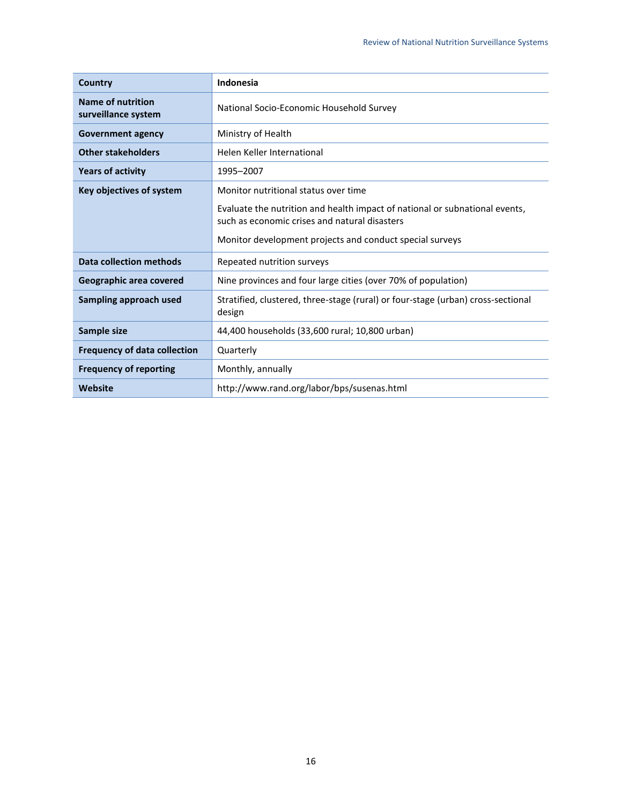| Country                                         | Indonesia                                                                                                                    |
|-------------------------------------------------|------------------------------------------------------------------------------------------------------------------------------|
| <b>Name of nutrition</b><br>surveillance system | National Socio-Economic Household Survey                                                                                     |
| <b>Government agency</b>                        | Ministry of Health                                                                                                           |
| <b>Other stakeholders</b>                       | Helen Keller International                                                                                                   |
| <b>Years of activity</b>                        | 1995-2007                                                                                                                    |
| Key objectives of system                        | Monitor nutritional status over time                                                                                         |
|                                                 | Evaluate the nutrition and health impact of national or subnational events,<br>such as economic crises and natural disasters |
|                                                 | Monitor development projects and conduct special surveys                                                                     |
| <b>Data collection methods</b>                  | Repeated nutrition surveys                                                                                                   |
| Geographic area covered                         | Nine provinces and four large cities (over 70% of population)                                                                |
| Sampling approach used                          | Stratified, clustered, three-stage (rural) or four-stage (urban) cross-sectional<br>design                                   |
| Sample size                                     | 44,400 households (33,600 rural; 10,800 urban)                                                                               |
| <b>Frequency of data collection</b>             | Quarterly                                                                                                                    |
| <b>Frequency of reporting</b>                   | Monthly, annually                                                                                                            |
| Website                                         | http://www.rand.org/labor/bps/susenas.html                                                                                   |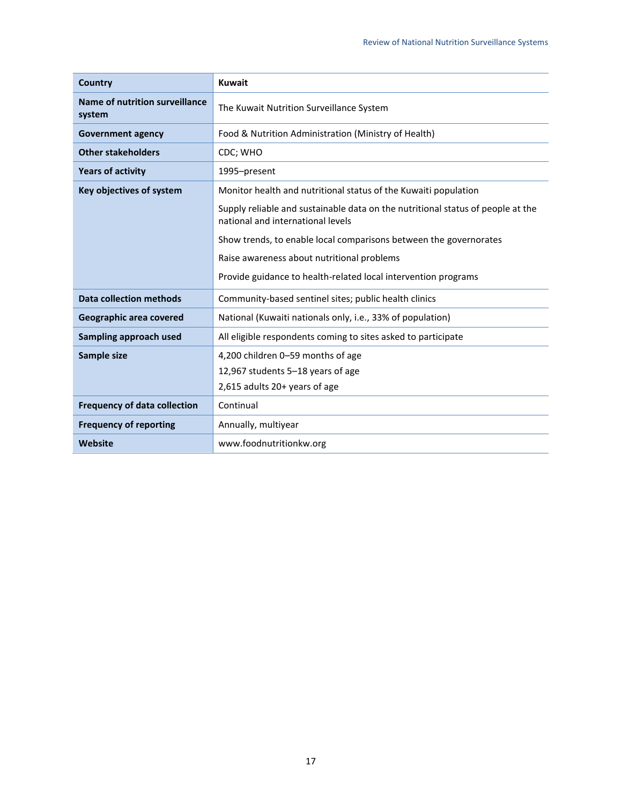| Country                                  | <b>Kuwait</b>                                                                                                        |
|------------------------------------------|----------------------------------------------------------------------------------------------------------------------|
| Name of nutrition surveillance<br>system | The Kuwait Nutrition Surveillance System                                                                             |
| <b>Government agency</b>                 | Food & Nutrition Administration (Ministry of Health)                                                                 |
| <b>Other stakeholders</b>                | CDC; WHO                                                                                                             |
| <b>Years of activity</b>                 | 1995-present                                                                                                         |
| Key objectives of system                 | Monitor health and nutritional status of the Kuwaiti population                                                      |
|                                          | Supply reliable and sustainable data on the nutritional status of people at the<br>national and international levels |
|                                          | Show trends, to enable local comparisons between the governorates                                                    |
|                                          | Raise awareness about nutritional problems                                                                           |
|                                          | Provide guidance to health-related local intervention programs                                                       |
| <b>Data collection methods</b>           | Community-based sentinel sites; public health clinics                                                                |
| Geographic area covered                  | National (Kuwaiti nationals only, i.e., 33% of population)                                                           |
| Sampling approach used                   | All eligible respondents coming to sites asked to participate                                                        |
| Sample size                              | 4,200 children 0-59 months of age                                                                                    |
|                                          | 12,967 students 5-18 years of age                                                                                    |
|                                          | 2,615 adults 20+ years of age                                                                                        |
| <b>Frequency of data collection</b>      | Continual                                                                                                            |
| <b>Frequency of reporting</b>            | Annually, multiyear                                                                                                  |
| Website                                  | www.foodnutritionkw.org                                                                                              |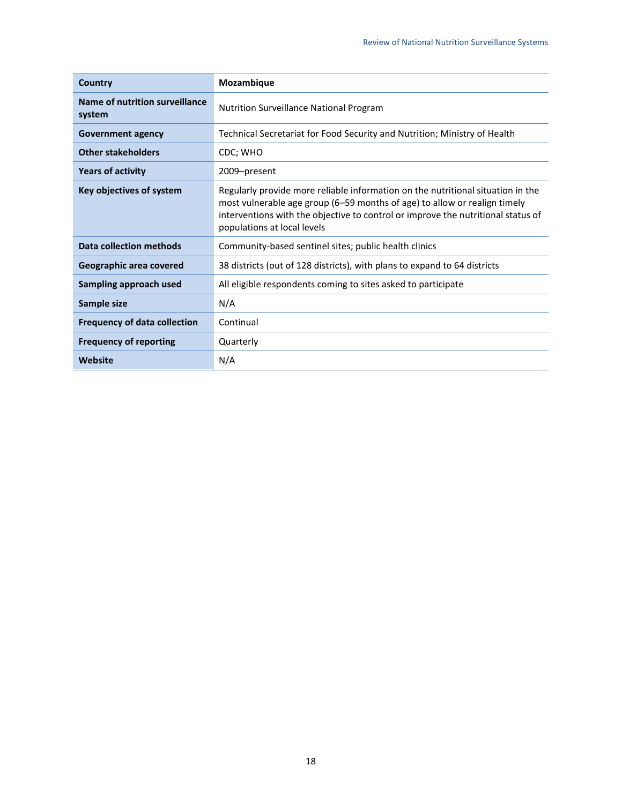| Country                                  | Mozambique                                                                                                                                                                                                                                                                      |
|------------------------------------------|---------------------------------------------------------------------------------------------------------------------------------------------------------------------------------------------------------------------------------------------------------------------------------|
| Name of nutrition surveillance<br>system | <b>Nutrition Surveillance National Program</b>                                                                                                                                                                                                                                  |
| <b>Government agency</b>                 | Technical Secretariat for Food Security and Nutrition; Ministry of Health                                                                                                                                                                                                       |
| <b>Other stakeholders</b>                | CDC; WHO                                                                                                                                                                                                                                                                        |
| <b>Years of activity</b>                 | 2009-present                                                                                                                                                                                                                                                                    |
| Key objectives of system                 | Regularly provide more reliable information on the nutritional situation in the<br>most vulnerable age group (6–59 months of age) to allow or realign timely<br>interventions with the objective to control or improve the nutritional status of<br>populations at local levels |
| <b>Data collection methods</b>           | Community-based sentinel sites; public health clinics                                                                                                                                                                                                                           |
| Geographic area covered                  | 38 districts (out of 128 districts), with plans to expand to 64 districts                                                                                                                                                                                                       |
| Sampling approach used                   | All eligible respondents coming to sites asked to participate                                                                                                                                                                                                                   |
| Sample size                              | N/A                                                                                                                                                                                                                                                                             |
| <b>Frequency of data collection</b>      | Continual                                                                                                                                                                                                                                                                       |
| <b>Frequency of reporting</b>            | Quarterly                                                                                                                                                                                                                                                                       |
| Website                                  | N/A                                                                                                                                                                                                                                                                             |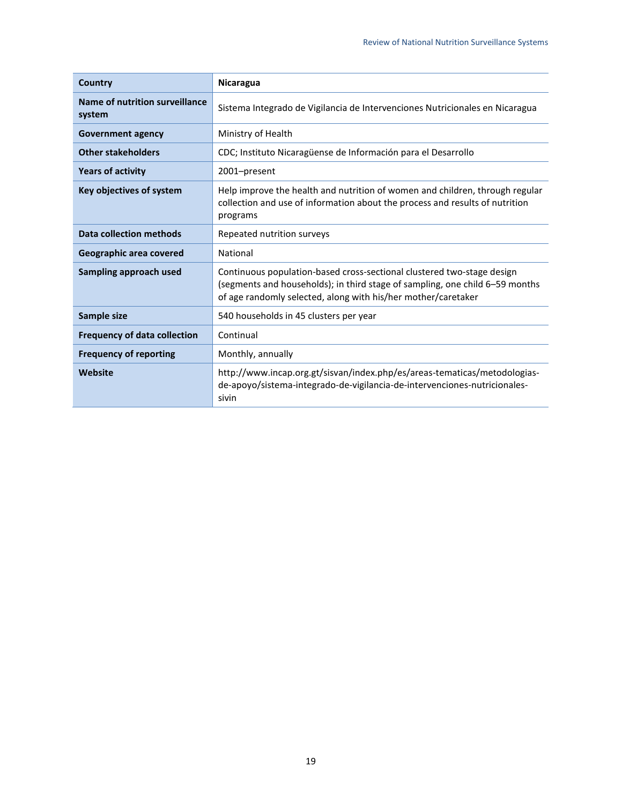| Country                                  | <b>Nicaragua</b>                                                                                                                                                                                                        |
|------------------------------------------|-------------------------------------------------------------------------------------------------------------------------------------------------------------------------------------------------------------------------|
| Name of nutrition surveillance<br>system | Sistema Integrado de Vigilancia de Intervenciones Nutricionales en Nicaragua                                                                                                                                            |
| <b>Government agency</b>                 | Ministry of Health                                                                                                                                                                                                      |
| <b>Other stakeholders</b>                | CDC; Instituto Nicaragüense de Información para el Desarrollo                                                                                                                                                           |
| <b>Years of activity</b>                 | 2001-present                                                                                                                                                                                                            |
| Key objectives of system                 | Help improve the health and nutrition of women and children, through regular<br>collection and use of information about the process and results of nutrition<br>programs                                                |
| <b>Data collection methods</b>           | Repeated nutrition surveys                                                                                                                                                                                              |
| Geographic area covered                  | National                                                                                                                                                                                                                |
| Sampling approach used                   | Continuous population-based cross-sectional clustered two-stage design<br>(segments and households); in third stage of sampling, one child 6-59 months<br>of age randomly selected, along with his/her mother/caretaker |
| Sample size                              | 540 households in 45 clusters per year                                                                                                                                                                                  |
| <b>Frequency of data collection</b>      | Continual                                                                                                                                                                                                               |
| <b>Frequency of reporting</b>            | Monthly, annually                                                                                                                                                                                                       |
| Website                                  | http://www.incap.org.gt/sisvan/index.php/es/areas-tematicas/metodologias-<br>de-apoyo/sistema-integrado-de-vigilancia-de-intervenciones-nutricionales-<br>sivin                                                         |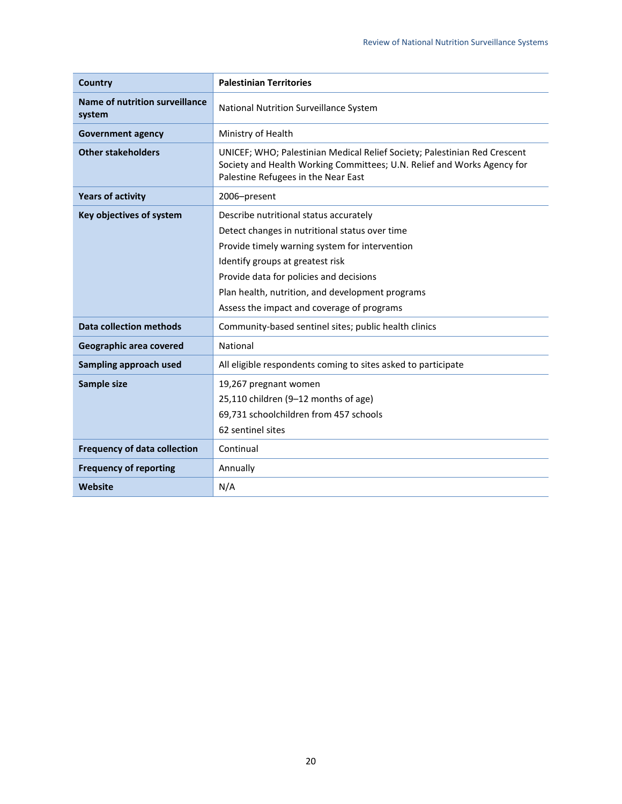| <b>Country</b>                           | <b>Palestinian Territories</b>                                                                                                                                                              |
|------------------------------------------|---------------------------------------------------------------------------------------------------------------------------------------------------------------------------------------------|
| Name of nutrition surveillance<br>system | National Nutrition Surveillance System                                                                                                                                                      |
| <b>Government agency</b>                 | Ministry of Health                                                                                                                                                                          |
| <b>Other stakeholders</b>                | UNICEF; WHO; Palestinian Medical Relief Society; Palestinian Red Crescent<br>Society and Health Working Committees; U.N. Relief and Works Agency for<br>Palestine Refugees in the Near East |
| <b>Years of activity</b>                 | 2006-present                                                                                                                                                                                |
| Key objectives of system                 | Describe nutritional status accurately                                                                                                                                                      |
|                                          | Detect changes in nutritional status over time                                                                                                                                              |
|                                          | Provide timely warning system for intervention                                                                                                                                              |
|                                          | Identify groups at greatest risk                                                                                                                                                            |
|                                          | Provide data for policies and decisions                                                                                                                                                     |
|                                          | Plan health, nutrition, and development programs                                                                                                                                            |
|                                          | Assess the impact and coverage of programs                                                                                                                                                  |
| <b>Data collection methods</b>           | Community-based sentinel sites; public health clinics                                                                                                                                       |
| Geographic area covered                  | National                                                                                                                                                                                    |
| Sampling approach used                   | All eligible respondents coming to sites asked to participate                                                                                                                               |
| Sample size                              | 19,267 pregnant women                                                                                                                                                                       |
|                                          | 25,110 children (9-12 months of age)                                                                                                                                                        |
|                                          | 69,731 schoolchildren from 457 schools                                                                                                                                                      |
|                                          | 62 sentinel sites                                                                                                                                                                           |
| <b>Frequency of data collection</b>      | Continual                                                                                                                                                                                   |
| <b>Frequency of reporting</b>            | Annually                                                                                                                                                                                    |
| Website                                  | N/A                                                                                                                                                                                         |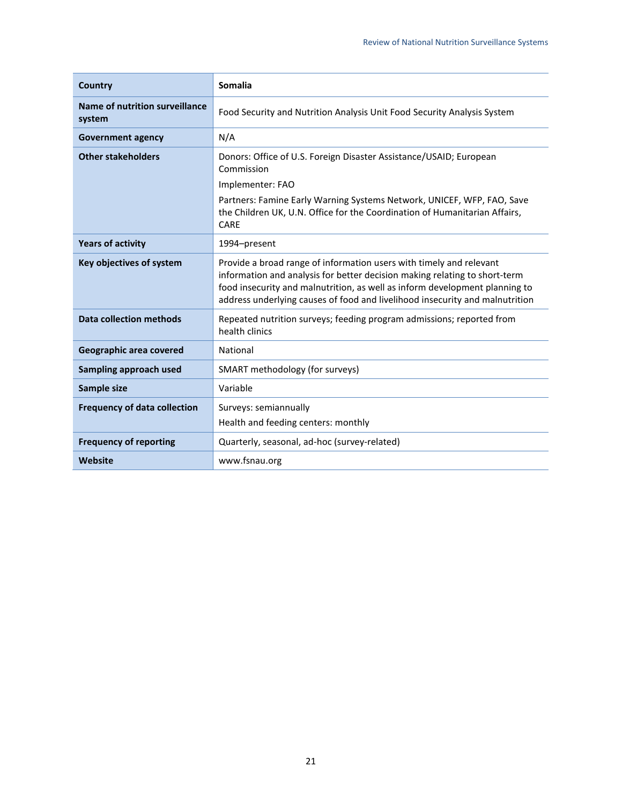| Country                                  | <b>Somalia</b>                                                                                                                                                                                                                                                                                                   |
|------------------------------------------|------------------------------------------------------------------------------------------------------------------------------------------------------------------------------------------------------------------------------------------------------------------------------------------------------------------|
| Name of nutrition surveillance<br>system | Food Security and Nutrition Analysis Unit Food Security Analysis System                                                                                                                                                                                                                                          |
| <b>Government agency</b>                 | N/A                                                                                                                                                                                                                                                                                                              |
| <b>Other stakeholders</b>                | Donors: Office of U.S. Foreign Disaster Assistance/USAID; European<br>Commission                                                                                                                                                                                                                                 |
|                                          | Implementer: FAO                                                                                                                                                                                                                                                                                                 |
|                                          | Partners: Famine Early Warning Systems Network, UNICEF, WFP, FAO, Save<br>the Children UK, U.N. Office for the Coordination of Humanitarian Affairs,<br>CARE                                                                                                                                                     |
| <b>Years of activity</b>                 | 1994-present                                                                                                                                                                                                                                                                                                     |
| Key objectives of system                 | Provide a broad range of information users with timely and relevant<br>information and analysis for better decision making relating to short-term<br>food insecurity and malnutrition, as well as inform development planning to<br>address underlying causes of food and livelihood insecurity and malnutrition |
| <b>Data collection methods</b>           | Repeated nutrition surveys; feeding program admissions; reported from<br>health clinics                                                                                                                                                                                                                          |
| Geographic area covered                  | National                                                                                                                                                                                                                                                                                                         |
| Sampling approach used                   | SMART methodology (for surveys)                                                                                                                                                                                                                                                                                  |
| Sample size                              | Variable                                                                                                                                                                                                                                                                                                         |
| <b>Frequency of data collection</b>      | Surveys: semiannually                                                                                                                                                                                                                                                                                            |
|                                          | Health and feeding centers: monthly                                                                                                                                                                                                                                                                              |
| <b>Frequency of reporting</b>            | Quarterly, seasonal, ad-hoc (survey-related)                                                                                                                                                                                                                                                                     |
| <b>Website</b>                           | www.fsnau.org                                                                                                                                                                                                                                                                                                    |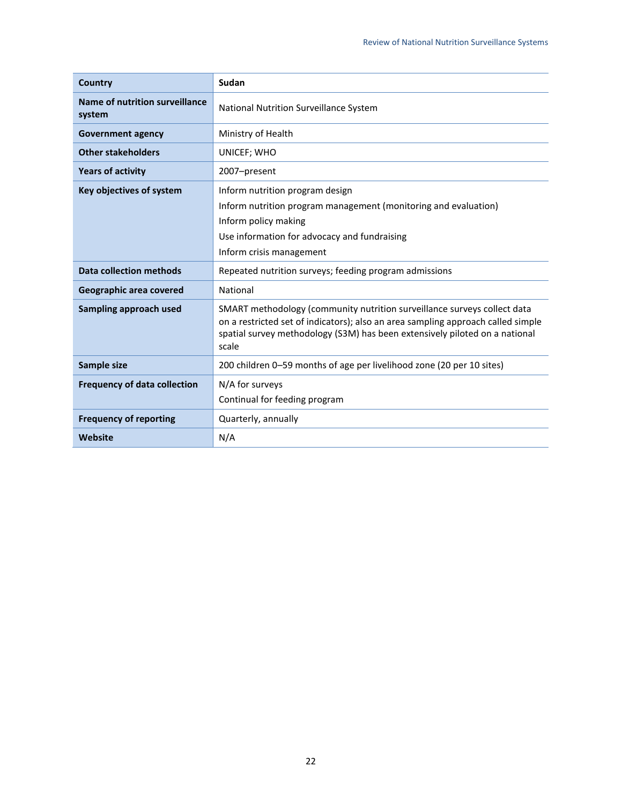| Country                                  | Sudan                                                                                                                                                                                                                                                |
|------------------------------------------|------------------------------------------------------------------------------------------------------------------------------------------------------------------------------------------------------------------------------------------------------|
| Name of nutrition surveillance<br>system | National Nutrition Surveillance System                                                                                                                                                                                                               |
| <b>Government agency</b>                 | Ministry of Health                                                                                                                                                                                                                                   |
| <b>Other stakeholders</b>                | UNICEF; WHO                                                                                                                                                                                                                                          |
| <b>Years of activity</b>                 | 2007-present                                                                                                                                                                                                                                         |
| Key objectives of system                 | Inform nutrition program design<br>Inform nutrition program management (monitoring and evaluation)<br>Inform policy making<br>Use information for advocacy and fundraising<br>Inform crisis management                                               |
| Data collection methods                  | Repeated nutrition surveys; feeding program admissions                                                                                                                                                                                               |
| Geographic area covered                  | National                                                                                                                                                                                                                                             |
| Sampling approach used                   | SMART methodology (community nutrition surveillance surveys collect data<br>on a restricted set of indicators); also an area sampling approach called simple<br>spatial survey methodology (S3M) has been extensively piloted on a national<br>scale |
| Sample size                              | 200 children 0-59 months of age per livelihood zone (20 per 10 sites)                                                                                                                                                                                |
| <b>Frequency of data collection</b>      | N/A for surveys<br>Continual for feeding program                                                                                                                                                                                                     |
| <b>Frequency of reporting</b>            | Quarterly, annually                                                                                                                                                                                                                                  |
| Website                                  | N/A                                                                                                                                                                                                                                                  |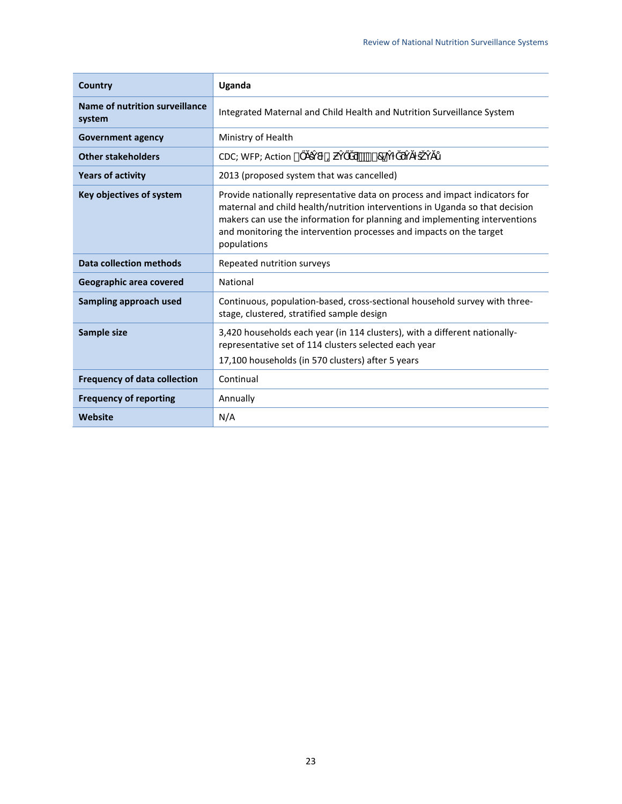| <b>Country</b>                           | Uganda                                                                                                                                                                                                                                                                                                                          |
|------------------------------------------|---------------------------------------------------------------------------------------------------------------------------------------------------------------------------------------------------------------------------------------------------------------------------------------------------------------------------------|
| Name of nutrition surveillance<br>system | Integrated Maternal and Child Health and Nutrition Surveillance System                                                                                                                                                                                                                                                          |
| <b>Government agency</b>                 | Ministry of Health                                                                                                                                                                                                                                                                                                              |
| <b>Other stakeholders</b>                | $r * 170$<br>Ъ<br>CDC; WFP; Action °                                                                                                                                                                                                                                                                                            |
| <b>Years of activity</b>                 | 2013 (proposed system that was cancelled)                                                                                                                                                                                                                                                                                       |
| Key objectives of system                 | Provide nationally representative data on process and impact indicators for<br>maternal and child health/nutrition interventions in Uganda so that decision<br>makers can use the information for planning and implementing interventions<br>and monitoring the intervention processes and impacts on the target<br>populations |
| <b>Data collection methods</b>           | Repeated nutrition surveys                                                                                                                                                                                                                                                                                                      |
| Geographic area covered                  | National                                                                                                                                                                                                                                                                                                                        |
| Sampling approach used                   | Continuous, population-based, cross-sectional household survey with three-<br>stage, clustered, stratified sample design                                                                                                                                                                                                        |
| Sample size                              | 3,420 households each year (in 114 clusters), with a different nationally-<br>representative set of 114 clusters selected each year<br>17,100 households (in 570 clusters) after 5 years                                                                                                                                        |
| <b>Frequency of data collection</b>      | Continual                                                                                                                                                                                                                                                                                                                       |
| <b>Frequency of reporting</b>            | Annually                                                                                                                                                                                                                                                                                                                        |
| Website                                  | N/A                                                                                                                                                                                                                                                                                                                             |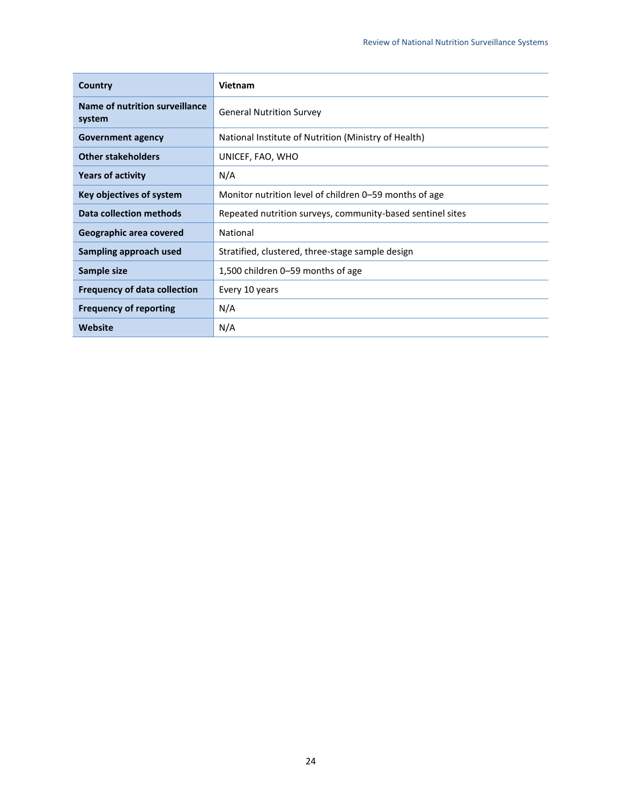| Country                                  | Vietnam                                                    |
|------------------------------------------|------------------------------------------------------------|
| Name of nutrition surveillance<br>system | <b>General Nutrition Survey</b>                            |
| <b>Government agency</b>                 | National Institute of Nutrition (Ministry of Health)       |
| <b>Other stakeholders</b>                | UNICEF, FAO, WHO                                           |
| <b>Years of activity</b>                 | N/A                                                        |
| Key objectives of system                 | Monitor nutrition level of children 0–59 months of age     |
| Data collection methods                  | Repeated nutrition surveys, community-based sentinel sites |
| Geographic area covered                  | National                                                   |
| Sampling approach used                   | Stratified, clustered, three-stage sample design           |
| Sample size                              | 1,500 children 0–59 months of age                          |
| <b>Frequency of data collection</b>      | Every 10 years                                             |
| <b>Frequency of reporting</b>            | N/A                                                        |
| Website                                  | N/A                                                        |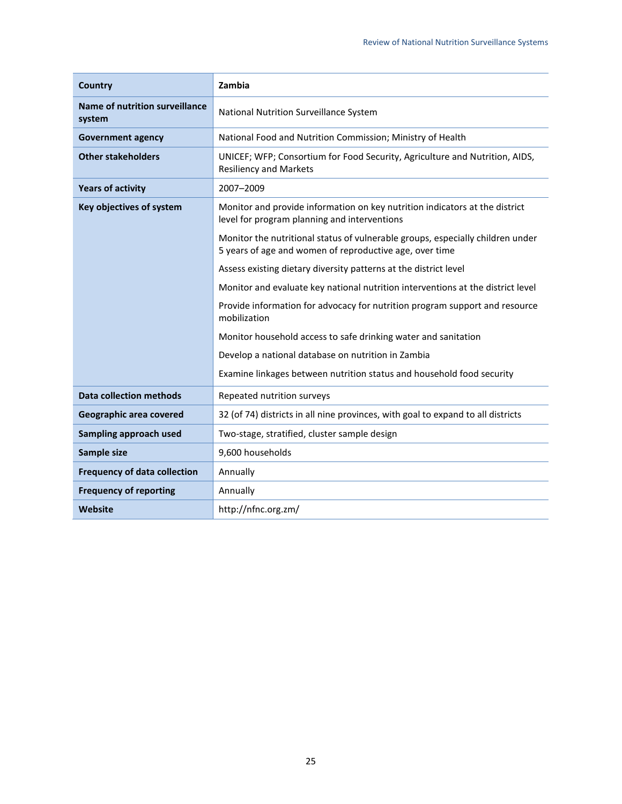| Country                                         | Zambia                                                                                                                                    |
|-------------------------------------------------|-------------------------------------------------------------------------------------------------------------------------------------------|
| <b>Name of nutrition surveillance</b><br>system | National Nutrition Surveillance System                                                                                                    |
| <b>Government agency</b>                        | National Food and Nutrition Commission; Ministry of Health                                                                                |
| <b>Other stakeholders</b>                       | UNICEF; WFP; Consortium for Food Security, Agriculture and Nutrition, AIDS,<br><b>Resiliency and Markets</b>                              |
| <b>Years of activity</b>                        | 2007-2009                                                                                                                                 |
| Key objectives of system                        | Monitor and provide information on key nutrition indicators at the district<br>level for program planning and interventions               |
|                                                 | Monitor the nutritional status of vulnerable groups, especially children under<br>5 years of age and women of reproductive age, over time |
|                                                 | Assess existing dietary diversity patterns at the district level                                                                          |
|                                                 | Monitor and evaluate key national nutrition interventions at the district level                                                           |
|                                                 | Provide information for advocacy for nutrition program support and resource<br>mobilization                                               |
|                                                 | Monitor household access to safe drinking water and sanitation                                                                            |
|                                                 | Develop a national database on nutrition in Zambia                                                                                        |
|                                                 | Examine linkages between nutrition status and household food security                                                                     |
| <b>Data collection methods</b>                  | Repeated nutrition surveys                                                                                                                |
| Geographic area covered                         | 32 (of 74) districts in all nine provinces, with goal to expand to all districts                                                          |
| Sampling approach used                          | Two-stage, stratified, cluster sample design                                                                                              |
| Sample size                                     | 9,600 households                                                                                                                          |
| <b>Frequency of data collection</b>             | Annually                                                                                                                                  |
| <b>Frequency of reporting</b>                   | Annually                                                                                                                                  |
| Website                                         | http://nfnc.org.zm/                                                                                                                       |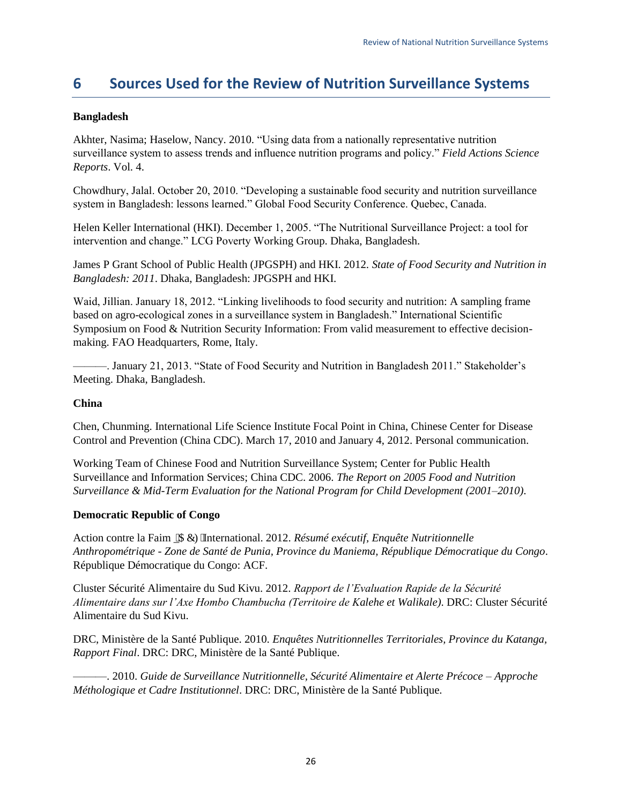## <span id="page-30-0"></span>**6 Sources Used for the Review of Nutrition Surveillance Systems**

### **Bangladesh**

Akhter, Nasima; Haselow, Nancy. 2010. "Using data from a nationally representative nutrition surveillance system to assess trends and influence nutrition programs and policy." *Field Actions Science Reports*. Vol. 4.

Chowdhury, Jalal. October 20, 2010. "Developing a sustainable food security and nutrition surveillance system in Bangladesh: lessons learned." Global Food Security Conference. Quebec, Canada.

Helen Keller International (HKI). December 1, 2005. "The Nutritional Surveillance Project: a tool for intervention and change." LCG Poverty Working Group. Dhaka, Bangladesh.

James P Grant School of Public Health (JPGSPH) and HKI. 2012. *State of Food Security and Nutrition in Bangladesh: 2011*. Dhaka, Bangladesh: JPGSPH and HKI.

Waid, Jillian. January 18, 2012. "Linking livelihoods to food security and nutrition: A sampling frame based on agro-ecological zones in a surveillance system in Bangladesh." International Scientific Symposium on Food & Nutrition Security Information: From valid measurement to effective decisionmaking. FAO Headquarters, Rome, Italy.

———. January 21, 2013. "State of Food Security and Nutrition in Bangladesh 2011." Stakeholder's Meeting. Dhaka, Bangladesh.

### **China**

Chen, Chunming. International Life Science Institute Focal Point in China, Chinese Center for Disease Control and Prevention (China CDC). March 17, 2010 and January 4, 2012. Personal communication.

Working Team of Chinese Food and Nutrition Surveillance System; Center for Public Health Surveillance and Information Services; China CDC. 2006. *The Report on 2005 Food and Nutrition Surveillance & Mid-Term Evaluation for the National Program for Child Development (2001–2010)*.

### **Democratic Republic of Congo**

Action contre la Faim \_\$&)International. 2012. *Résumé exécutif, Enquête Nutritionnelle Anthropométrique - Zone de Santé de Punia, Province du Maniema, République Démocratique du Congo*. République Démocratique du Congo: ACF.

Cluster Sécurité Alimentaire du Sud Kivu. 2012. *Rapport de l'Evaluation Rapide de la Sécurité Alimentaire dans sur l'Axe Hombo Chambucha (Territoire de Kalehe et Walikale)*. DRC: Cluster Sécurité Alimentaire du Sud Kivu.

DRC, Ministère de la Santé Publique. 2010. *Enquêtes Nutritionnelles Territoriales, Province du Katanga, Rapport Final*. DRC: DRC, Ministère de la Santé Publique.

———. 2010. *Guide de Surveillance Nutritionnelle, Sécurité Alimentaire et Alerte Précoce – Approche Méthologique et Cadre Institutionnel*. DRC: DRC, Ministère de la Santé Publique.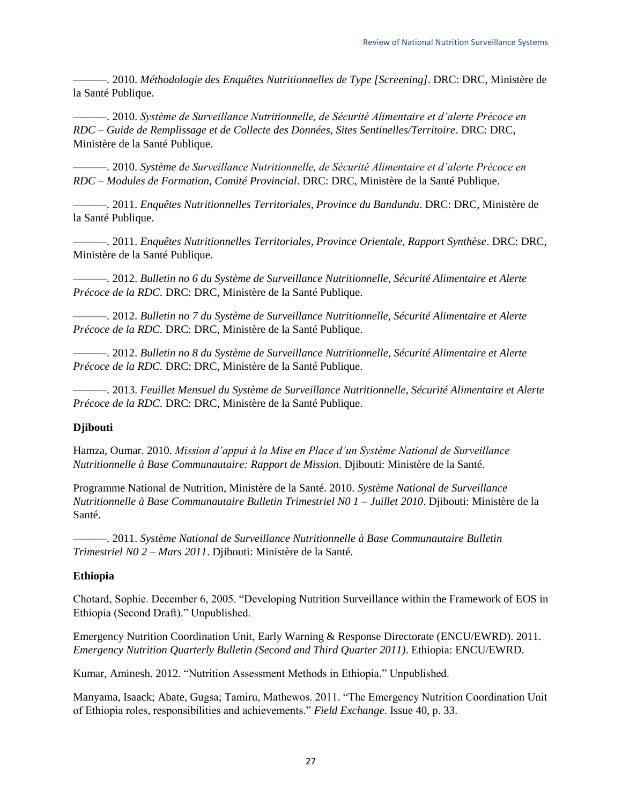———. 2010. *Méthodologie des Enquêtes Nutritionnelles de Type [Screening]*. DRC: DRC, Ministère de la Santé Publique.

———. 2010. *Système de Surveillance Nutritionnelle, de Sécurité Alimentaire et d'alerte Précoce en RDC – Guide de Remplissage et de Collecte des Données, Sites Sentinelles/Territoire*. DRC: DRC, Ministère de la Santé Publique.

———. 2010. *Système de Surveillance Nutritionnelle, de Sécurité Alimentaire et d'alerte Précoce en RDC – Modules de Formation, Comité Provincial*. DRC: DRC, Ministère de la Santé Publique.

———. 2011. *Enquêtes Nutritionnelles Territoriales, Province du Bandundu*. DRC: DRC, Ministère de la Santé Publique.

———. 2011. *Enquêtes Nutritionnelles Territoriales, Province Orientale, Rapport Synthèse*. DRC: DRC, Ministère de la Santé Publique.

———. 2012. *Bulletin no 6 du Système de Surveillance Nutritionnelle, Sécurité Alimentaire et Alerte Précoce de la RDC*. DRC: DRC, Ministère de la Santé Publique.

———. 2012. *Bulletin no 7 du Système de Surveillance Nutritionnelle, Sécurité Alimentaire et Alerte Précoce de la RDC*. DRC: DRC, Ministère de la Santé Publique.

———. 2012. *Bulletin no 8 du Système de Surveillance Nutritionnelle, Sécurité Alimentaire et Alerte Précoce de la RDC*. DRC: DRC, Ministère de la Santé Publique.

———. 2013. *Feuillet Mensuel du Système de Surveillance Nutritionnelle, Sécurité Alimentaire et Alerte Précoce de la RDC*. DRC: DRC, Ministère de la Santé Publique.

### **Djibouti**

Hamza, Oumar. 2010. *Mission d'appui à la Mise en Place d'un Système National de Surveillance Nutritionnelle à Base Communautaire: Rapport de Mission*. Djibouti: Ministère de la Santé.

Programme National de Nutrition, Ministère de la Santé. 2010. *Système National de Surveillance Nutritionnelle à Base Communautaire Bulletin Trimestriel N0 1 – Juillet 2010*. Djibouti: Ministère de la Santé.

———. 2011. *Système National de Surveillance Nutritionnelle à Base Communautaire Bulletin Trimestriel N0 2 – Mars 2011*. Djibouti: Ministère de la Santé.

### **Ethiopia**

Chotard, Sophie. December 6, 2005. "Developing Nutrition Surveillance within the Framework of EOS in Ethiopia (Second Draft)." Unpublished.

Emergency Nutrition Coordination Unit, Early Warning & Response Directorate (ENCU/EWRD). 2011. *Emergency Nutrition Quarterly Bulletin (Second and Third Quarter 2011)*. Ethiopia: ENCU/EWRD.

Kumar, Aminesh. 2012. "Nutrition Assessment Methods in Ethiopia." Unpublished.

Manyama, Isaack; Abate, Gugsa; Tamiru, Mathewos. 2011. "The Emergency Nutrition Coordination Unit of Ethiopia roles, responsibilities and achievements." *Field Exchange*. Issue 40, p. 33.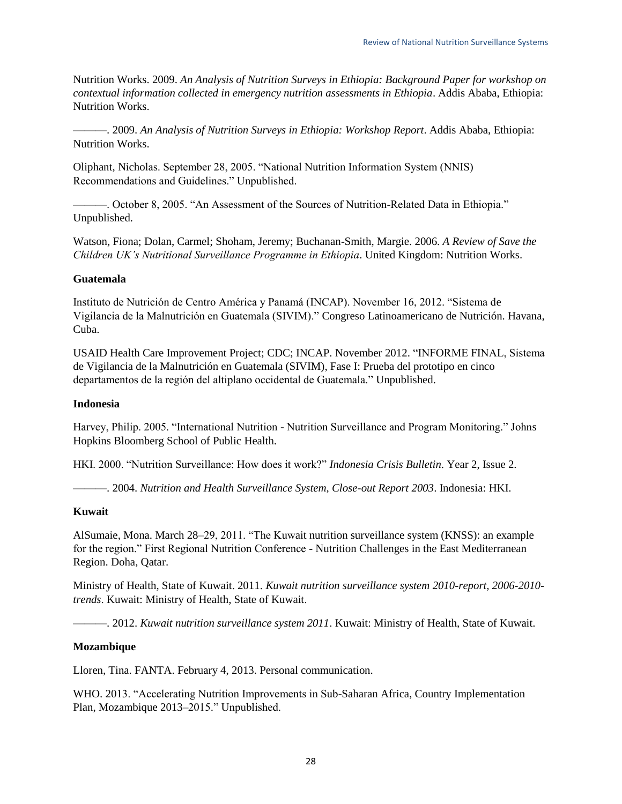Nutrition Works. 2009. *An Analysis of Nutrition Surveys in Ethiopia: Background Paper for workshop on contextual information collected in emergency nutrition assessments in Ethiopia*. Addis Ababa, Ethiopia: Nutrition Works.

———. 2009. *An Analysis of Nutrition Surveys in Ethiopia: Workshop Report*. Addis Ababa, Ethiopia: Nutrition Works.

Oliphant, Nicholas. September 28, 2005. "National Nutrition Information System (NNIS) Recommendations and Guidelines." Unpublished.

———. October 8, 2005. "An Assessment of the Sources of Nutrition-Related Data in Ethiopia." Unpublished.

Watson, Fiona; Dolan, Carmel; Shoham, Jeremy; Buchanan-Smith, Margie. 2006. *A Review of Save the Children UK's Nutritional Surveillance Programme in Ethiopia*. United Kingdom: Nutrition Works.

### **Guatemala**

Instituto de Nutrición de Centro América y Panamá (INCAP). November 16, 2012. "Sistema de Vigilancia de la Malnutrición en Guatemala (SIVIM)." Congreso Latinoamericano de Nutrición. Havana, Cuba.

USAID Health Care Improvement Project; CDC; INCAP. November 2012. "INFORME FINAL, Sistema de Vigilancia de la Malnutrición en Guatemala (SIVIM), Fase I: Prueba del prototipo en cinco departamentos de la región del altiplano occidental de Guatemala." Unpublished.

### **Indonesia**

Harvey, Philip. 2005. "International Nutrition - Nutrition Surveillance and Program Monitoring." Johns Hopkins Bloomberg School of Public Health.

HKI. 2000. "Nutrition Surveillance: How does it work?" *Indonesia Crisis Bulletin*. Year 2, Issue 2.

———. 2004. *Nutrition and Health Surveillance System, Close-out Report 2003*. Indonesia: HKI.

### **Kuwait**

AlSumaie, Mona. March 28–29, 2011. "The Kuwait nutrition surveillance system (KNSS): an example for the region." First Regional Nutrition Conference - Nutrition Challenges in the East Mediterranean Region. Doha, Qatar.

Ministry of Health, State of Kuwait. 2011. *Kuwait nutrition surveillance system 2010-report, 2006-2010 trends*. Kuwait: Ministry of Health, State of Kuwait.

———. 2012. *Kuwait nutrition surveillance system 2011*. Kuwait: Ministry of Health, State of Kuwait.

### **Mozambique**

Lloren, Tina. FANTA. February 4, 2013. Personal communication.

WHO. 2013. "Accelerating Nutrition Improvements in Sub-Saharan Africa, Country Implementation Plan, Mozambique 2013–2015." Unpublished.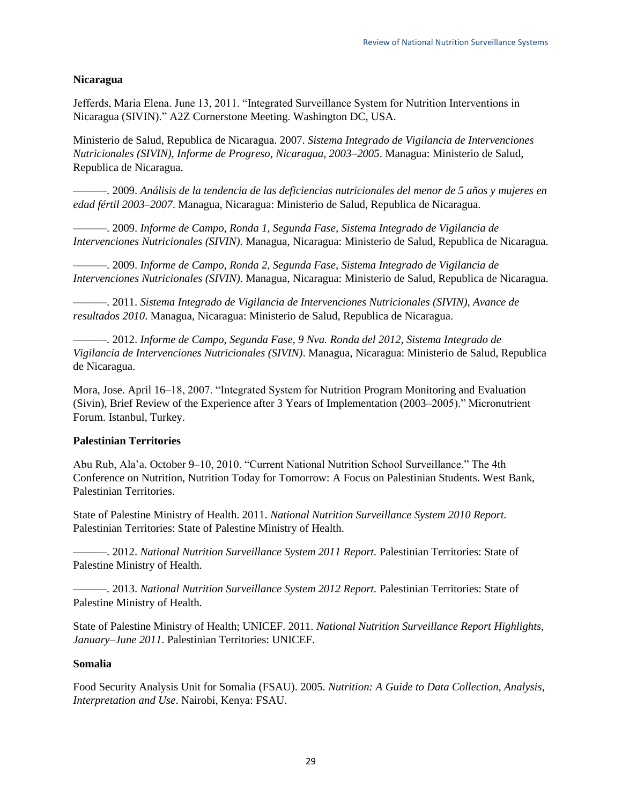### **Nicaragua**

Jefferds, Maria Elena. June 13, 2011. "Integrated Surveillance System for Nutrition Interventions in Nicaragua (SIVIN)." A2Z Cornerstone Meeting. Washington DC, USA.

Ministerio de Salud, Republica de Nicaragua. 2007. *Sistema Integrado de Vigilancia de Intervenciones Nutricionales (SIVIN), Informe de Progreso, Nicaragua, 2003–2005*. Managua: Ministerio de Salud, Republica de Nicaragua.

———. 2009. *Análisis de la tendencia de las deficiencias nutricionales del menor de 5 años y mujeres en edad fértil 2003–2007*. Managua, Nicaragua: Ministerio de Salud, Republica de Nicaragua.

———. 2009. *Informe de Campo, Ronda 1, Segunda Fase, Sistema Integrado de Vigilancia de Intervenciones Nutricionales (SIVIN)*. Managua, Nicaragua: Ministerio de Salud, Republica de Nicaragua.

———. 2009. *Informe de Campo, Ronda 2, Segunda Fase, Sistema Integrado de Vigilancia de Intervenciones Nutricionales (SIVIN)*. Managua, Nicaragua: Ministerio de Salud, Republica de Nicaragua.

———. 2011. *Sistema Integrado de Vigilancia de Intervenciones Nutricionales (SIVIN), Avance de resultados 2010*. Managua, Nicaragua: Ministerio de Salud, Republica de Nicaragua.

———. 2012. *Informe de Campo, Segunda Fase, 9 Nva. Ronda del 2012, Sistema Integrado de Vigilancia de Intervenciones Nutricionales (SIVIN)*. Managua, Nicaragua: Ministerio de Salud, Republica de Nicaragua.

Mora, Jose. April 16–18, 2007. "Integrated System for Nutrition Program Monitoring and Evaluation (Sivin), Brief Review of the Experience after 3 Years of Implementation (2003–2005)." Micronutrient Forum. Istanbul, Turkey.

### **Palestinian Territories**

Abu Rub, Ala'a. October 9–10, 2010. "Current National Nutrition School Surveillance." The 4th Conference on Nutrition, Nutrition Today for Tomorrow: A Focus on Palestinian Students. West Bank, Palestinian Territories.

State of Palestine Ministry of Health. 2011. *National Nutrition Surveillance System 2010 Report.* Palestinian Territories: State of Palestine Ministry of Health.

———. 2012. *National Nutrition Surveillance System 2011 Report.* Palestinian Territories: State of Palestine Ministry of Health.

———. 2013. *National Nutrition Surveillance System 2012 Report.* Palestinian Territories: State of Palestine Ministry of Health.

State of Palestine Ministry of Health; UNICEF. 2011. *National Nutrition Surveillance Report Highlights, January–June 2011*. Palestinian Territories: UNICEF.

### **Somalia**

Food Security Analysis Unit for Somalia (FSAU). 2005. *Nutrition: A Guide to Data Collection, Analysis, Interpretation and Use*. Nairobi, Kenya: FSAU.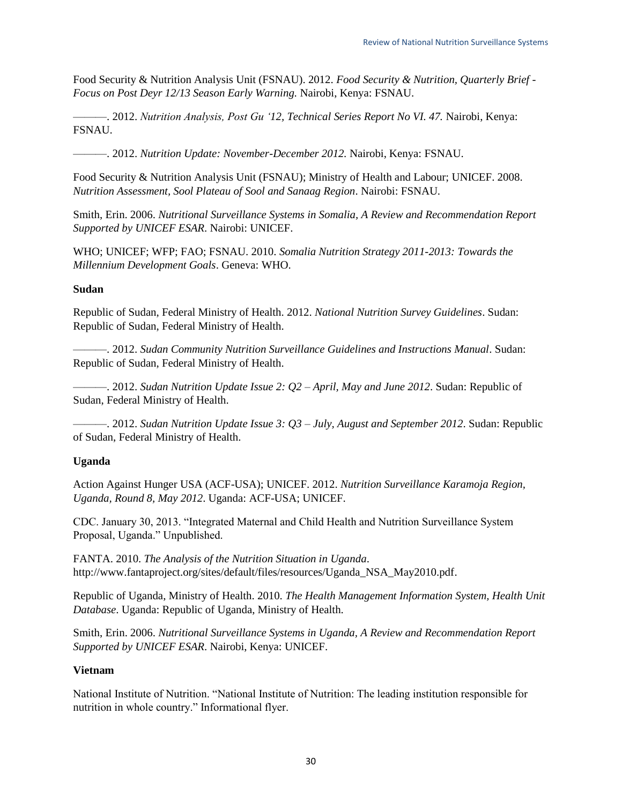Food Security & Nutrition Analysis Unit (FSNAU). 2012. *Food Security & Nutrition, Quarterly Brief - Focus on Post Deyr 12/13 Season Early Warning.* Nairobi, Kenya: FSNAU.

———. 2012. *Nutrition Analysis, Post Gu '12, Technical Series Report No VI. 47.* Nairobi, Kenya: FSNAU.

———. 2012. *Nutrition Update: November-December 2012.* Nairobi, Kenya: FSNAU.

Food Security & Nutrition Analysis Unit (FSNAU); Ministry of Health and Labour; UNICEF. 2008. *Nutrition Assessment, Sool Plateau of Sool and Sanaag Region*. Nairobi: FSNAU.

Smith, Erin. 2006. *Nutritional Surveillance Systems in Somalia, A Review and Recommendation Report Supported by UNICEF ESAR*. Nairobi: UNICEF.

WHO; UNICEF; WFP; FAO; FSNAU. 2010. *Somalia Nutrition Strategy 2011-2013: Towards the Millennium Development Goals*. Geneva: WHO.

### **Sudan**

Republic of Sudan, Federal Ministry of Health. 2012. *National Nutrition Survey Guidelines*. Sudan: Republic of Sudan, Federal Ministry of Health.

———. 2012. *Sudan Community Nutrition Surveillance Guidelines and Instructions Manual*. Sudan: Republic of Sudan, Federal Ministry of Health.

———. 2012. *Sudan Nutrition Update Issue 2: Q2 – April, May and June 2012*. Sudan: Republic of Sudan, Federal Ministry of Health.

———. 2012. *Sudan Nutrition Update Issue 3: Q3 – July, August and September 2012*. Sudan: Republic of Sudan, Federal Ministry of Health.

### **Uganda**

Action Against Hunger USA (ACF-USA); UNICEF. 2012. *Nutrition Surveillance Karamoja Region, Uganda, Round 8, May 2012*. Uganda: ACF-USA; UNICEF.

CDC. January 30, 2013. "Integrated Maternal and Child Health and Nutrition Surveillance System Proposal, Uganda." Unpublished.

FANTA. 2010. *The Analysis of the Nutrition Situation in Uganda*. http://www.fantaproject.org/sites/default/files/resources/Uganda\_NSA\_May2010.pdf.

Republic of Uganda, Ministry of Health. 2010. *The Health Management Information System, Health Unit Database*. Uganda: Republic of Uganda, Ministry of Health.

Smith, Erin. 2006. *Nutritional Surveillance Systems in Uganda, A Review and Recommendation Report Supported by UNICEF ESAR*. Nairobi, Kenya: UNICEF.

### **Vietnam**

National Institute of Nutrition. "National Institute of Nutrition: The leading institution responsible for nutrition in whole country." Informational flyer.